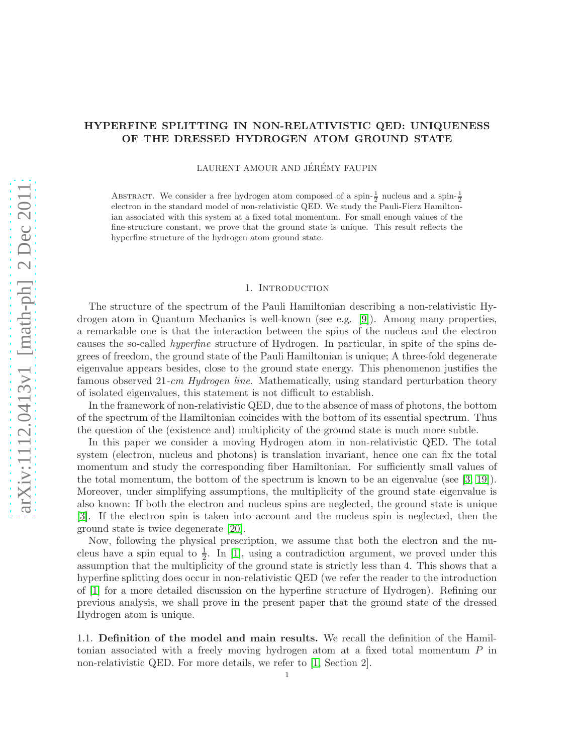# HYPERFINE SPLITTING IN NON-RELATIVISTIC QED: UNIQUENESS OF THE DRESSED HYDROGEN ATOM GROUND STATE

LAURENT AMOUR AND JÉRÉMY FAUPIN

ABSTRACT. We consider a free hydrogen atom composed of a spin- $\frac{1}{2}$  nucleus and a spin- $\frac{1}{2}$ electron in the standard model of non-relativistic QED. We study the Pauli-Fierz Hamiltonian associated with this system at a fixed total momentum. For small enough values of the fine-structure constant, we prove that the ground state is unique. This result reflects the hyperfine structure of the hydrogen atom ground state.

#### 1. INTRODUCTION

The structure of the spectrum of the Pauli Hamiltonian describing a non-relativistic Hydrogen atom in Quantum Mechanics is well-known (see e.g. [\[9\]](#page-21-0)). Among many properties, a remarkable one is that the interaction between the spins of the nucleus and the electron causes the so-called hyperfine structure of Hydrogen. In particular, in spite of the spins degrees of freedom, the ground state of the Pauli Hamiltonian is unique; A three-fold degenerate eigenvalue appears besides, close to the ground state energy. This phenomenon justifies the famous observed 21-*cm Hydrogen line*. Mathematically, using standard perturbation theory of isolated eigenvalues, this statement is not difficult to establish.

In the framework of non-relativistic QED, due to the absence of mass of photons, the bottom of the spectrum of the Hamiltonian coincides with the bottom of its essential spectrum. Thus the question of the (existence and) multiplicity of the ground state is much more subtle.

In this paper we consider a moving Hydrogen atom in non-relativistic QED. The total system (electron, nucleus and photons) is translation invariant, hence one can fix the total momentum and study the corresponding fiber Hamiltonian. For sufficiently small values of the total momentum, the bottom of the spectrum is known to be an eigenvalue (see  $(3, 19)$ ). Moreover, under simplifying assumptions, the multiplicity of the ground state eigenvalue is also known: If both the electron and nucleus spins are neglected, the ground state is unique [\[3\]](#page-20-0). If the electron spin is taken into account and the nucleus spin is neglected, then the ground state is twice degenerate [\[20\]](#page-21-2).

Now, following the physical prescription, we assume that both the electron and the nucleus have a spin equal to  $\frac{1}{2}$ . In [\[1\]](#page-20-1), using a contradiction argument, we proved under this assumption that the multiplicity of the ground state is strictly less than 4. This shows that a hyperfine splitting does occur in non-relativistic QED (we refer the reader to the introduction of [\[1\]](#page-20-1) for a more detailed discussion on the hyperfine structure of Hydrogen). Refining our previous analysis, we shall prove in the present paper that the ground state of the dressed Hydrogen atom is unique.

1.1. Definition of the model and main results. We recall the definition of the Hamiltonian associated with a freely moving hydrogen atom at a fixed total momentum P in non-relativistic QED. For more details, we refer to [\[1,](#page-20-1) Section 2].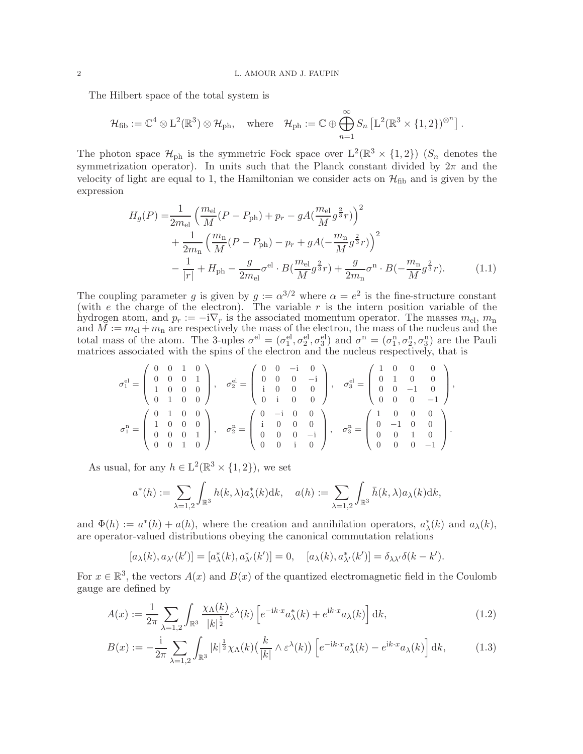The Hilbert space of the total system is

$$
\mathcal{H}_{\text{fib}} := \mathbb{C}^4 \otimes \mathbb{L}^2(\mathbb{R}^3) \otimes \mathcal{H}_{\text{ph}}, \quad \text{where} \quad \mathcal{H}_{\text{ph}} := \mathbb{C} \oplus \bigoplus_{n=1}^{\infty} S_n \left[ \mathbb{L}^2(\mathbb{R}^3 \times \{1, 2\})^{\otimes^n} \right].
$$

The photon space  $\mathcal{H}_{ph}$  is the symmetric Fock space over  $L^2(\mathbb{R}^3 \times \{1,2\})$  ( $S_n$  denotes the symmetrization operator). In units such that the Planck constant divided by  $2\pi$  and the velocity of light are equal to 1, the Hamiltonian we consider acts on  $\mathcal{H}_{\text{fib}}$  and is given by the expression

<span id="page-1-2"></span>
$$
H_g(P) = \frac{1}{2m_{\text{el}}} \left( \frac{m_{\text{el}}}{M} (P - P_{\text{ph}}) + p_r - gA \left( \frac{m_{\text{el}}}{M} g^{\frac{2}{3}} r \right) \right)^2 + \frac{1}{2m_{\text{n}}} \left( \frac{m_{\text{n}}}{M} (P - P_{\text{ph}}) - p_r + gA \left( -\frac{m_{\text{n}}}{M} g^{\frac{2}{3}} r \right) \right)^2 - \frac{1}{|r|} + H_{\text{ph}} - \frac{g}{2m_{\text{el}}} \sigma^{\text{el}} \cdot B \left( \frac{m_{\text{el}}}{M} g^{\frac{2}{3}} r \right) + \frac{g}{2m_{\text{n}}} \sigma^{\text{n}} \cdot B \left( -\frac{m_{\text{n}}}{M} g^{\frac{2}{3}} r \right).
$$
(1.1)

The coupling parameter g is given by  $g := \alpha^{3/2}$  where  $\alpha = e^2$  is the fine-structure constant (with e the charge of the electron). The variable  $r$  is the intern position variable of the hydrogen atom, and  $p_r := -i\nabla_r$  is the associated momentum operator. The masses  $m_{el}$ ,  $m_n$ and  $M := m<sub>el</sub> + m<sub>n</sub>$  are respectively the mass of the electron, the mass of the nucleus and the total mass of the atom. The 3-uples  $\sigma^{\text{el}} = (\sigma_1^{\text{el}}, \sigma_2^{\text{el}}, \sigma_3^{\text{el}})$  and  $\sigma^{\text{n}} = (\sigma_1^{\text{n}}, \sigma_2^{\text{n}}, \sigma_3^{\text{n}})$  are the Pauli matrices associated with the spins of the electron and the nucleus respectively, that is

$$
\sigma_1^{\text{el}} = \left(\begin{array}{cccc} 0 & 0 & 1 & 0 \\ 0 & 0 & 0 & 1 \\ 1 & 0 & 0 & 0 \\ 0 & 1 & 0 & 0 \end{array}\right), \quad \sigma_2^{\text{el}} = \left(\begin{array}{cccc} 0 & 0 & -\mathrm{i} & 0 \\ 0 & 0 & 0 & -\mathrm{i} \\ \mathrm{i} & 0 & 0 & 0 \\ 0 & \mathrm{i} & 0 & 0 \end{array}\right), \quad \sigma_3^{\text{el}} = \left(\begin{array}{cccc} 1 & 0 & 0 & 0 \\ 0 & 1 & 0 & 0 \\ 0 & 0 & -1 & 0 \\ 0 & 0 & 0 & -1 \end{array}\right),
$$

$$
\sigma_1^{\text{n}} = \left(\begin{array}{cccc} 0 & 1 & 0 & 0 \\ 1 & 0 & 0 & 0 \\ 0 & 0 & 0 & 1 \\ 0 & 0 & 1 & 0 \end{array}\right), \quad \sigma_2^{\text{n}} = \left(\begin{array}{cccc} 0 & -\mathrm{i} & 0 & 0 \\ \mathrm{i} & 0 & 0 & 0 \\ 0 & 0 & 0 & -\mathrm{i} \\ 0 & 0 & 0 & -\mathrm{i} \end{array}\right), \quad \sigma_3^{\text{n}} = \left(\begin{array}{cccc} 1 & 0 & 0 & 0 \\ 0 & -1 & 0 & 0 \\ 0 & 0 & 1 & 0 \\ 0 & 0 & 0 & -1 \end{array}\right).
$$

As usual, for any  $h \in L^2(\mathbb{R}^3 \times \{1, 2\})$ , we set

$$
a^*(h) := \sum_{\lambda=1,2} \int_{\mathbb{R}^3} h(k,\lambda) a^*_{\lambda}(k) dk, \quad a(h) := \sum_{\lambda=1,2} \int_{\mathbb{R}^3} \bar{h}(k,\lambda) a_{\lambda}(k) dk,
$$

and  $\Phi(h) := a^*(h) + a(h)$ , where the creation and annihilation operators,  $a^*_{\lambda}(k)$  and  $a_{\lambda}(k)$ , are operator-valued distributions obeying the canonical commutation relations

<span id="page-1-1"></span><span id="page-1-0"></span>
$$
[a_{\lambda}(k), a_{\lambda'}(k')] = [a_{\lambda}^*(k), a_{\lambda'}^*(k')] = 0, \quad [a_{\lambda}(k), a_{\lambda'}^*(k')] = \delta_{\lambda\lambda'}\delta(k - k').
$$

For  $x \in \mathbb{R}^3$ , the vectors  $A(x)$  and  $B(x)$  of the quantized electromagnetic field in the Coulomb gauge are defined by

$$
A(x) := \frac{1}{2\pi} \sum_{\lambda=1,2} \int_{\mathbb{R}^3} \frac{\chi_\Lambda(k)}{|k|^{\frac{1}{2}}} \varepsilon^\lambda(k) \left[ e^{-ik \cdot x} a_\lambda^*(k) + e^{ik \cdot x} a_\lambda(k) \right] dk,\tag{1.2}
$$

$$
B(x) := -\frac{1}{2\pi} \sum_{\lambda=1,2} \int_{\mathbb{R}^3} |k|^{\frac{1}{2}} \chi_\Lambda(k) \left(\frac{k}{|k|} \wedge \varepsilon^\lambda(k)\right) \left[e^{-ik \cdot x} a_\lambda^*(k) - e^{ik \cdot x} a_\lambda(k)\right] dk,\tag{1.3}
$$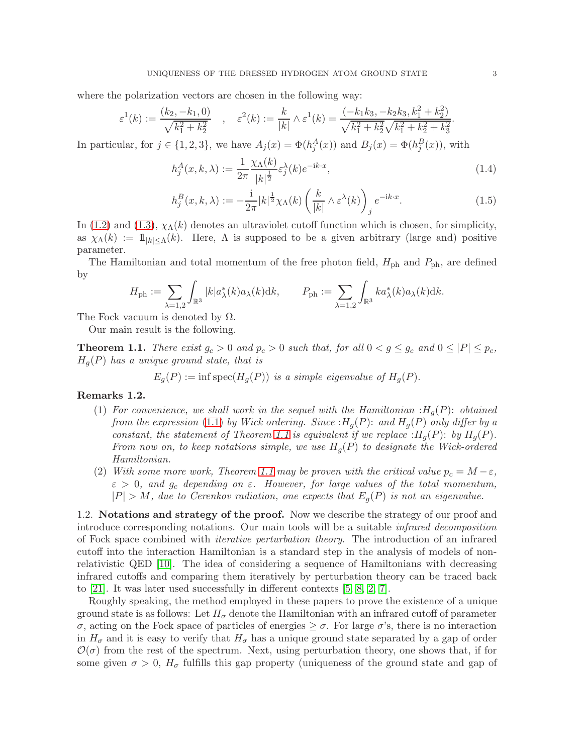where the polarization vectors are chosen in the following way:

$$
\varepsilon^1(k) := \frac{(k_2, -k_1, 0)}{\sqrt{k_1^2 + k_2^2}}, \quad \varepsilon^2(k) := \frac{k}{|k|} \wedge \varepsilon^1(k) = \frac{(-k_1 k_3, -k_2 k_3, k_1^2 + k_2^2)}{\sqrt{k_1^2 + k_2^2} \sqrt{k_1^2 + k_2^2 + k_3^2}}.
$$

In particular, for  $j \in \{1, 2, 3\}$ , we have  $A_j(x) = \Phi(h_j^A(x))$  and  $B_j(x) = \Phi(h_j^B(x))$ , with

<span id="page-2-2"></span>
$$
h_j^A(x,k,\lambda) := \frac{1}{2\pi} \frac{\chi_\Lambda(k)}{|k|^{\frac{1}{2}}} \varepsilon_j^{\lambda}(k) e^{-ik \cdot x},\tag{1.4}
$$

<span id="page-2-3"></span>
$$
h_j^B(x, k, \lambda) := -\frac{1}{2\pi} |k|^{\frac{1}{2}} \chi_\Lambda(k) \left(\frac{k}{|k|} \wedge \varepsilon^\lambda(k)\right)_j e^{-ik \cdot x}.\tag{1.5}
$$

In [\(1.2\)](#page-1-0) and [\(1.3\)](#page-1-1),  $\chi_{\Lambda}(k)$  denotes an ultraviolet cutoff function which is chosen, for simplicity, as  $\chi_{\Lambda}(k) := 1\!\!1_{|k| \leq \Lambda}(k)$ . Here,  $\Lambda$  is supposed to be a given arbitrary (large and) positive parameter.

The Hamiltonian and total momentum of the free photon field,  $H_{\text{ph}}$  and  $P_{\text{ph}}$ , are defined by

$$
H_{\mathrm{ph}} := \sum_{\lambda=1,2} \int_{\mathbb{R}^3} |k| a_{\lambda}^*(k) a_{\lambda}(k) \mathrm{d} k, \qquad P_{\mathrm{ph}} := \sum_{\lambda=1,2} \int_{\mathbb{R}^3} k a_{\lambda}^*(k) a_{\lambda}(k) \mathrm{d} k.
$$

The Fock vacuum is denoted by  $\Omega$ .

Our main result is the following.

<span id="page-2-0"></span>**Theorem 1.1.** There exist  $g_c > 0$  and  $p_c > 0$  such that, for all  $0 < g \le g_c$  and  $0 \le |P| \le p_c$ ,  $H_g(P)$  has a unique ground state, that is

 $E_q(P) := \inf \text{spec}(H_q(P))$  is a simple eigenvalue of  $H_q(P)$ .

### <span id="page-2-1"></span>Remarks 1.2.

- (1) For convenience, we shall work in the sequel with the Hamiltonian : $H_q(P)$ : obtained from the expression [\(1.1\)](#page-1-2) by Wick ordering. Since  $:H_g(P)$ : and  $H_g(P)$  only differ by a constant, the statement of Theorem [1.1](#page-2-0) is equivalent if we replace  $:H_q(P)$ : by  $H_q(P)$ . From now on, to keep notations simple, we use  $H_q(P)$  to designate the Wick-ordered Hamiltonian.
- (2) With some more work, Theorem [1.1](#page-2-0) may be proven with the critical value  $p_c = M \varepsilon$ ,  $\varepsilon > 0$ , and  $g_c$  depending on  $\varepsilon$ . However, for large values of the total momentum,  $|P| > M$ , due to Cerenkov radiation, one expects that  $E_g(P)$  is not an eigenvalue.

1.2. Notations and strategy of the proof. Now we describe the strategy of our proof and introduce corresponding notations. Our main tools will be a suitable infrared decomposition of Fock space combined with iterative perturbation theory. The introduction of an infrared cutoff into the interaction Hamiltonian is a standard step in the analysis of models of nonrelativistic QED [\[10\]](#page-21-3). The idea of considering a sequence of Hamiltonians with decreasing infrared cutoffs and comparing them iteratively by perturbation theory can be traced back to [\[21\]](#page-21-4). It was later used successfully in different contexts [\[5,](#page-20-2) [8,](#page-21-5) [2,](#page-20-3) [7\]](#page-20-4).

Roughly speaking, the method employed in these papers to prove the existence of a unique ground state is as follows: Let  $H_{\sigma}$  denote the Hamiltonian with an infrared cutoff of parameter σ, acting on the Fock space of particles of energies ≥ σ. For large σ's, there is no interaction in  $H_{\sigma}$  and it is easy to verify that  $H_{\sigma}$  has a unique ground state separated by a gap of order  $\mathcal{O}(\sigma)$  from the rest of the spectrum. Next, using perturbation theory, one shows that, if for some given  $\sigma > 0$ ,  $H_{\sigma}$  fulfills this gap property (uniqueness of the ground state and gap of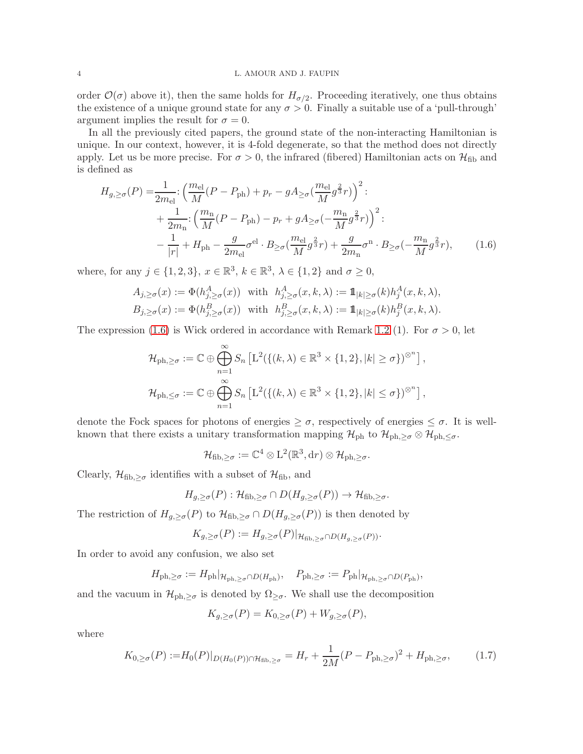#### 4 L. AMOUR AND J. FAUPIN

order  $\mathcal{O}(\sigma)$  above it), then the same holds for  $H_{\sigma/2}$ . Proceeding iteratively, one thus obtains the existence of a unique ground state for any  $\sigma > 0$ . Finally a suitable use of a 'pull-through' argument implies the result for  $\sigma = 0$ .

In all the previously cited papers, the ground state of the non-interacting Hamiltonian is unique. In our context, however, it is 4-fold degenerate, so that the method does not directly apply. Let us be more precise. For  $\sigma > 0$ , the infrared (fibered) Hamiltonian acts on  $\mathcal{H}_{\text{fib}}$  and is defined as

$$
H_{g,\geq\sigma}(P) = \frac{1}{2m_{\text{el}}} \left( \frac{m_{\text{el}}}{M} (P - P_{\text{ph}}) + p_r - g A_{\geq\sigma} \left( \frac{m_{\text{el}}}{M} g^{\frac{2}{3}} r \right) \right)^2
$$
  
+ 
$$
\frac{1}{2m_{\text{n}}} \left( \frac{m_{\text{n}}}{M} (P - P_{\text{ph}}) - p_r + g A_{\geq\sigma} \left( -\frac{m_{\text{n}}}{M} g^{\frac{2}{3}} r \right) \right)^2
$$

$$
- \frac{1}{|r|} + H_{\text{ph}} - \frac{g}{2m_{\text{el}}} \sigma^{\text{el}} \cdot B_{\geq\sigma} \left( \frac{m_{\text{el}}}{M} g^{\frac{2}{3}} r \right) + \frac{g}{2m_{\text{n}}} \sigma^{\text{n}} \cdot B_{\geq\sigma} \left( -\frac{m_{\text{n}}}{M} g^{\frac{2}{3}} r \right), \tag{1.6}
$$

where, for any  $j \in \{1, 2, 3\}$ ,  $x \in \mathbb{R}^3$ ,  $k \in \mathbb{R}^3$ ,  $\lambda \in \{1, 2\}$  and  $\sigma \ge 0$ ,

$$
A_{j,\geq\sigma}(x) := \Phi(h_{j,\geq\sigma}^A(x)) \text{ with } h_{j,\geq\sigma}^A(x,k,\lambda) := \mathbb{1}_{|k|\geq\sigma}(k)h_j^A(x,k,\lambda),
$$
  

$$
B_{j,\geq\sigma}(x) := \Phi(h_{j,\geq\sigma}^B(x)) \text{ with } h_{j,\geq\sigma}^B(x,k,\lambda) := \mathbb{1}_{|k|\geq\sigma}(k)h_j^B(x,k,\lambda).
$$

The expression [\(1.6\)](#page-3-0) is Wick ordered in accordance with Remark [1.2](#page-2-1) (1). For  $\sigma > 0$ , let

$$
\mathcal{H}_{\text{ph},\geq\sigma} := \mathbb{C} \oplus \bigoplus_{n=1}^{\infty} S_n \left[ L^2(\{(k,\lambda) \in \mathbb{R}^3 \times \{1,2\}, |k| \geq \sigma\})^{\otimes^n} \right],
$$
  

$$
\mathcal{H}_{\text{ph},\leq\sigma} := \mathbb{C} \oplus \bigoplus_{n=1}^{\infty} S_n \left[ L^2(\{(k,\lambda) \in \mathbb{R}^3 \times \{1,2\}, |k| \leq \sigma\})^{\otimes^n} \right],
$$

denote the Fock spaces for photons of energies  $\geq \sigma$ , respectively of energies  $\leq \sigma$ . It is wellknown that there exists a unitary transformation mapping  $\mathcal{H}_{ph}$  to  $\mathcal{H}_{ph, \geq \sigma} \otimes \mathcal{H}_{ph, \leq \sigma}$ .

<span id="page-3-0"></span>
$$
\mathcal{H}_{\mathrm{fib},\geq\sigma}:=\mathbb{C}^4\otimes\mathrm{L}^2(\mathbb{R}^3,\mathrm{d} r)\otimes\mathcal{H}_{\mathrm{ph},\geq\sigma}.
$$

Clearly,  $\mathcal{H}_{\text{fib},\geq\sigma}$  identifies with a subset of  $\mathcal{H}_{\text{fib}}$ , and

$$
H_{g,\geq\sigma}(P): \mathcal{H}_{\text{fib},\geq\sigma}\cap D(H_{g,\geq\sigma}(P))\to \mathcal{H}_{\text{fib},\geq\sigma}.
$$

The restriction of  $H_{g,\geq\sigma}(P)$  to  $\mathcal{H}_{\text{fib},\geq\sigma}\cap D(H_{g,\geq\sigma}(P))$  is then denoted by

$$
K_{g,\geq\sigma}(P) := H_{g,\geq\sigma}(P)|_{\mathcal{H}_{\text{fib},\geq\sigma}\cap D(H_{g,\geq\sigma}(P))}.
$$

In order to avoid any confusion, we also set

$$
H_{\mathrm{ph},\geq\sigma}:=H_{\mathrm{ph}}|_{\mathcal{H}_{\mathrm{ph},\geq\sigma}\cap D(H_{\mathrm{ph}})},\quad P_{\mathrm{ph},\geq\sigma}:=P_{\mathrm{ph}}|_{\mathcal{H}_{\mathrm{ph},\geq\sigma}\cap D(P_{\mathrm{ph}})},
$$

and the vacuum in  $\mathcal{H}_{ph,\geq\sigma}$  is denoted by  $\Omega_{\geq\sigma}$ . We shall use the decomposition

<span id="page-3-1"></span>
$$
K_{g,\geq \sigma}(P) = K_{0,\geq \sigma}(P) + W_{g,\geq \sigma}(P),
$$

where

$$
K_{0,\geq\sigma}(P) := H_0(P)|_{D(H_0(P)) \cap \mathcal{H}_{\text{fib},\geq\sigma}} = H_r + \frac{1}{2M}(P - P_{\text{ph},\geq\sigma})^2 + H_{\text{ph},\geq\sigma},\tag{1.7}
$$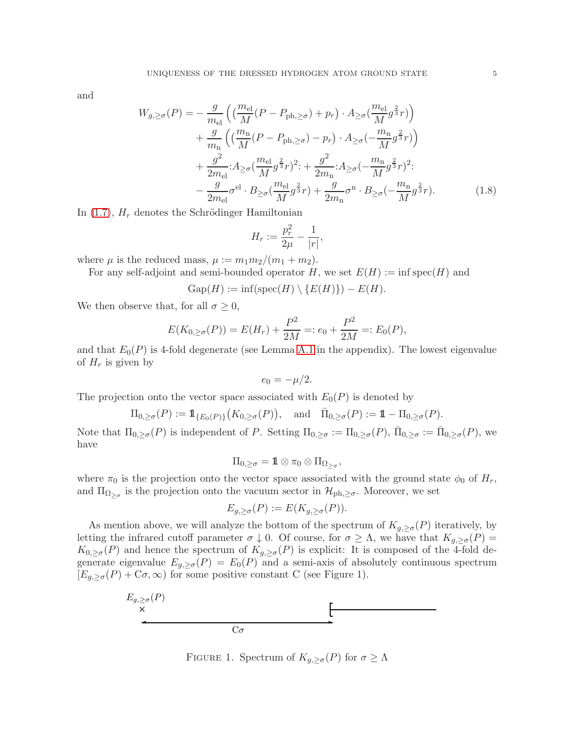and

$$
W_{g,\geq\sigma}(P) = -\frac{g}{m_{\text{el}}} \left( \left( \frac{m_{\text{el}}}{M} (P - P_{\text{ph},\geq\sigma}) + p_r \right) \cdot A_{\geq\sigma} \left( \frac{m_{\text{el}}}{M} g^{\frac{2}{3}} r \right) \right) + \frac{g}{m_{\text{n}}} \left( \left( \frac{m_{\text{n}}}{M} (P - P_{\text{ph},\geq\sigma}) - p_r \right) \cdot A_{\geq\sigma} \left( -\frac{m_{\text{n}}}{M} g^{\frac{2}{3}} r \right) \right) + \frac{g^2}{2m_{\text{el}}} \cdot A_{\geq\sigma} \left( \frac{m_{\text{el}}}{M} g^{\frac{2}{3}} r \right)^2 \cdot + \frac{g^2}{2m_{\text{n}}} \cdot A_{\geq\sigma} \left( -\frac{m_{\text{n}}}{M} g^{\frac{2}{3}} r \right)^2 \cdot - \frac{g}{2m_{\text{el}}} \sigma^{\text{el}} \cdot B_{\geq\sigma} \left( \frac{m_{\text{el}}}{M} g^{\frac{2}{3}} r \right) + \frac{g}{2m_{\text{n}}} \sigma^{\text{n}} \cdot B_{\geq\sigma} \left( -\frac{m_{\text{n}}}{M} g^{\frac{2}{3}} r \right). \tag{1.8}
$$

In  $(1.7)$ ,  $H_r$  denotes the Schrödinger Hamiltonian

<span id="page-4-0"></span>
$$
H_r := \frac{p_r^2}{2\mu} - \frac{1}{|r|},
$$

where  $\mu$  is the reduced mass,  $\mu := m_1 m_2/(m_1 + m_2)$ .

For any self-adjoint and semi-bounded operator H, we set  $E(H) := \inf \text{spec}(H)$  and

$$
Gap(H) := \inf(\operatorname{spec}(H) \setminus \{E(H)\}) - E(H).
$$

We then observe that, for all  $\sigma \geq 0$ ,

$$
E(K_{0,\geq\sigma}(P)) = E(H_r) + \frac{P^2}{2M} =: e_0 + \frac{P^2}{2M} =: E_0(P),
$$

and that  $E_0(P)$  is 4-fold degenerate (see Lemma [A.1](#page-18-0) in the appendix). The lowest eigenvalue of  $H_r$  is given by

$$
e_0=-\mu/2.
$$

The projection onto the vector space associated with  $E_0(P)$  is denoted by

$$
\Pi_{0,\geq\sigma}(P):=\mathop{\mathrm{\boldsymbol{1}}}\nolimits_{\{E_0(P)\}}\bigl(K_{0,\geq\sigma}(P)\bigr),\quad\text{and}\quad\bar\Pi_{0,\geq\sigma}(P):=\mathop{\mathrm{\boldsymbol{1}}}\nolimits-\Pi_{0,\geq\sigma}(P).
$$

Note that  $\Pi_{0,\geq\sigma}(P)$  is independent of P. Setting  $\Pi_{0,\geq\sigma} := \Pi_{0,\geq\sigma}(P)$ ,  $\bar{\Pi}_{0,\geq\sigma} := \bar{\Pi}_{0,\geq\sigma}(P)$ , we have

$$
\Pi_{0,\geq\sigma}=\mathop{1\mskip-4mu{\rm l}}\nolimits\otimes\pi_0\otimes\Pi_{\Omega_{\geq\sigma}},
$$

where  $\pi_0$  is the projection onto the vector space associated with the ground state  $\phi_0$  of  $H_r$ , and  $\Pi_{\Omega_{\geq \sigma}}$  is the projection onto the vacuum sector in  $\mathcal{H}_{ph,\geq \sigma}$ . Moreover, we set

$$
E_{g,\geq \sigma}(P) := E(K_{g,\geq \sigma}(P)).
$$

As mention above, we will analyze the bottom of the spectrum of  $K_{g,\geq\sigma}(P)$  iteratively, by letting the infrared cutoff parameter  $\sigma \downarrow 0$ . Of course, for  $\sigma \geq \Lambda$ , we have that  $K_{g,\geq \sigma}(P) =$  $K_{0,\geq\sigma}(P)$  and hence the spectrum of  $K_{g,\geq\sigma}(P)$  is explicit: It is composed of the 4-fold degenerate eigenvalue  $E_{g,\geq\sigma}(P) = E_0(P)$  and a semi-axis of absolutely continuous spectrum  $[E_{g,\geq\sigma}(P)+\mathbb{C}\sigma,\infty)$  for some positive constant C (see Figure 1).



FIGURE 1. Spectrum of  $K_{g,\geq\sigma}(P)$  for  $\sigma\geq\Lambda$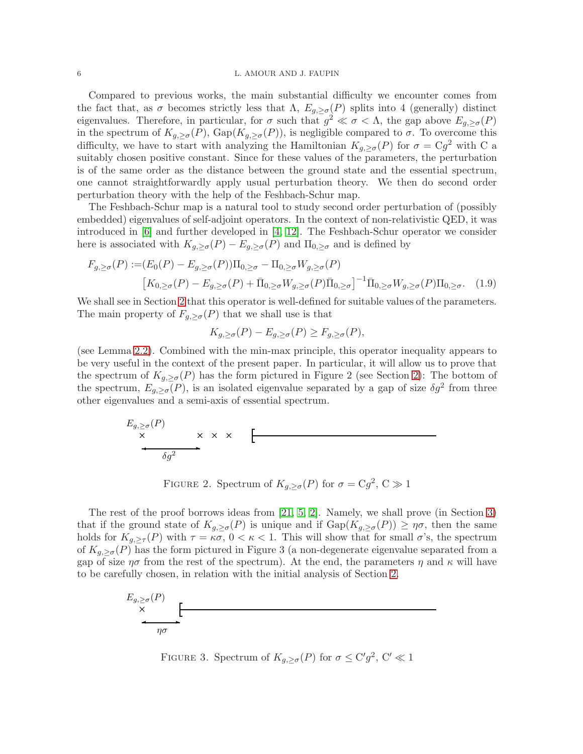### 6 L. AMOUR AND J. FAUPIN

Compared to previous works, the main substantial difficulty we encounter comes from the fact that, as  $\sigma$  becomes strictly less that  $\Lambda$ ,  $E_{g,\geq \sigma}(P)$  splits into 4 (generally) distinct eigenvalues. Therefore, in particular, for  $\sigma$  such that  $g^2 \ll \sigma < \Lambda$ , the gap above  $E_{g,\geq \sigma}(P)$ in the spectrum of  $K_{g,\geq\sigma}(P)$ ,  $\text{Gap}(K_{g,\geq\sigma}(P))$ , is negligible compared to  $\sigma$ . To overcome this difficulty, we have to start with analyzing the Hamiltonian  $K_{g,\geq\sigma}(P)$  for  $\sigma = \mathbb{C}g^2$  with C a suitably chosen positive constant. Since for these values of the parameters, the perturbation is of the same order as the distance between the ground state and the essential spectrum, one cannot straightforwardly apply usual perturbation theory. We then do second order perturbation theory with the help of the Feshbach-Schur map.

The Feshbach-Schur map is a natural tool to study second order perturbation of (possibly embedded) eigenvalues of self-adjoint operators. In the context of non-relativistic QED, it was introduced in [\[6\]](#page-20-5) and further developed in [\[4,](#page-20-6) [12\]](#page-21-6). The Feshbach-Schur operator we consider here is associated with  $K_{g,\geq\sigma}(P) - E_{g,\geq\sigma}(P)$  and  $\Pi_{0,\geq\sigma}$  and is defined by

$$
F_{g,\geq\sigma}(P) := (E_0(P) - E_{g,\geq\sigma}(P))\Pi_{0,\geq\sigma} - \Pi_{0,\geq\sigma}W_{g,\geq\sigma}(P)
$$

$$
\left[K_{0,\geq\sigma}(P) - E_{g,\geq\sigma}(P) + \bar{\Pi}_{0,\geq\sigma}W_{g,\geq\sigma}(P)\bar{\Pi}_{0,\geq\sigma}\right]^{-1}\bar{\Pi}_{0,\geq\sigma}W_{g,\geq\sigma}(P)\Pi_{0,\geq\sigma}.
$$
 (1.9)

We shall see in Section [2](#page-6-0) that this operator is well-defined for suitable values of the parameters. The main property of  $F_{g,\geq\sigma}(P)$  that we shall use is that

<span id="page-5-0"></span>
$$
K_{g,\geq \sigma}(P) - E_{g,\geq \sigma}(P) \geq F_{g,\geq \sigma}(P),
$$

(see Lemma [2.2\)](#page-7-0). Combined with the min-max principle, this operator inequality appears to be very useful in the context of the present paper. In particular, it will allow us to prove that the spectrum of  $K_{g,\geq \sigma}(P)$  has the form pictured in Figure 2 (see Section [2\)](#page-6-0): The bottom of the spectrum,  $E_{g,\geq\sigma}(P)$ , is an isolated eigenvalue separated by a gap of size  $\delta g^2$  from three other eigenvalues and a semi-axis of essential spectrum.

$$
E_{g,\geq\sigma}(P)
$$
  
  $\times$   $\times$   $\times$   $\longrightarrow$ 

FIGURE 2. Spectrum of  $K_{g,\geq \sigma}(P)$  for  $\sigma = Cg^2$ ,  $C \gg 1$ 

The rest of the proof borrows ideas from [\[21,](#page-21-4) [5,](#page-20-2) [2\]](#page-20-3). Namely, we shall prove (in Section [3\)](#page-15-0) that if the ground state of  $K_{g,\geq_{\sigma}}(P)$  is unique and if  $\text{Gap}(K_{g,\geq_{\sigma}}(P)) \geq \eta_{\sigma}$ , then the same holds for  $K_{g,\geq \tau}(P)$  with  $\tau = \kappa \sigma$ ,  $0 < \kappa < 1$ . This will show that for small  $\sigma$ 's, the spectrum of  $K_{g,\geq \sigma}(P)$  has the form pictured in Figure 3 (a non-degenerate eigenvalue separated from a gap of size  $\eta\sigma$  from the rest of the spectrum). At the end, the parameters  $\eta$  and  $\kappa$  will have to be carefully chosen, in relation with the initial analysis of Section [2.](#page-6-0)



FIGURE 3. Spectrum of  $K_{g,\geq\sigma}(P)$  for  $\sigma \leq \mathcal{C}'g^2$ ,  $\mathcal{C}' \ll 1$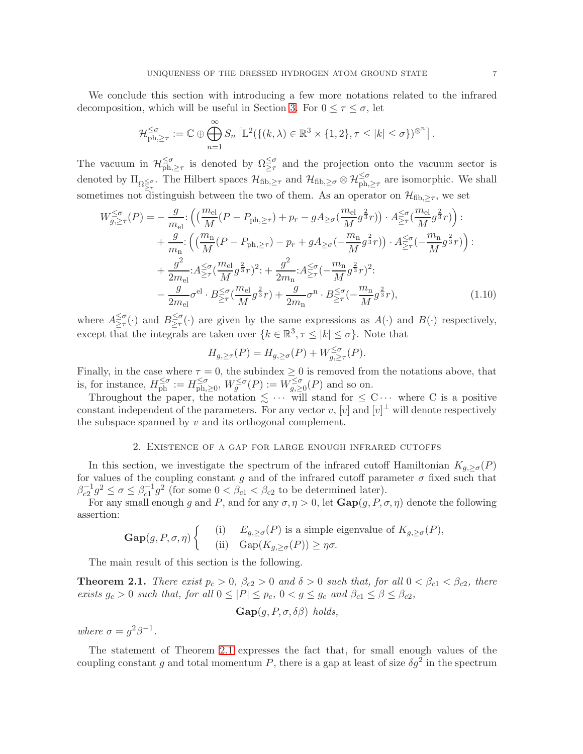We conclude this section with introducing a few more notations related to the infrared decomposition, which will be useful in Section [3.](#page-15-0) For  $0 \leq \tau \leq \sigma$ , let

$$
\mathcal{H}_{\mathrm{ph},\geq \tau}^{\leq \sigma} := \mathbb{C} \oplus \bigoplus_{n=1}^{\infty} S_n \left[ L^2(\{(k,\lambda)\in \mathbb{R}^3 \times \{1,2\}, \tau \leq |k| \leq \sigma\})^{\otimes^n} \right].
$$

The vacuum in  $\mathcal{H}_{ph,}^{\leq \sigma}$  $\leq_{\sigma}$  is denoted by  $\Omega \leq_{\tau}$  and the projection onto the vacuum sector is denoted by  $\Pi_{\Omega \leq \sigma}$ . The Hilbert spaces  $\mathcal{H}_{\text{fib},\geq \tau}$  and  $\mathcal{H}_{\text{fib},\geq \sigma} \otimes \mathcal{H}_{\text{ph},\geq \tau}^{\leq \sigma}$  are isomorphic. We shall sometimes not distinguish between the two of them. As an operator on  $\mathcal{H}_{\text{fib},\geq \tau}$ , we set

$$
W_{g,\geq \tau}^{\leq \sigma}(P) = -\frac{g}{m_{\text{el}}} \cdot \left( \left( \frac{m_{\text{el}}}{M} (P - P_{\text{ph},\geq \tau}) + p_r - g A_{\geq \sigma} \left( \frac{m_{\text{el}}}{M} g^{\frac{2}{3}} r \right) \right) \cdot A_{\geq \tau}^{\leq \sigma} \left( \frac{m_{\text{el}}}{M} g^{\frac{2}{3}} r \right) \right) \cdot A_{\geq \tau}^{\leq \sigma} \left( \frac{m_{\text{el}}}{M} g^{\frac{2}{3}} r \right) \cdot A_{\geq \tau}^{\leq \sigma} \left( -\frac{m_{\text{n}}}{M} g^{\frac{2}{3}} r \right) \cdot A_{\geq \tau}^{\leq \sigma} \left( -\frac{m_{\text{n}}}{M} g^{\frac{2}{3}} r \right) \cdot A_{\geq \tau}^{\leq \sigma} \left( -\frac{m_{\text{n}}}{M} g^{\frac{2}{3}} r \right) \cdot A_{\geq \tau}^{\leq \sigma} \left( -\frac{m_{\text{n}}}{M} g^{\frac{2}{3}} r \right) \cdot A_{\geq \tau}^{\leq \sigma} \left( -\frac{m_{\text{n}}}{M} g^{\frac{2}{3}} r \right) \cdot A_{\geq \tau}^{\leq \sigma} \left( -\frac{m_{\text{n}}}{M} g^{\frac{2}{3}} r \right) \cdot A_{\geq \tau}^{\leq \sigma} \left( -\frac{m_{\text{n}}}{M} g^{\frac{2}{3}} r \right) \cdot A_{\geq \tau}^{\leq \sigma} \left( -\frac{m_{\text{n}}}{M} g^{\frac{2}{3}} r \right) \cdot A_{\geq \tau}^{\leq \sigma} \left( -\frac{m_{\text{n}}}{M} g^{\frac{2}{3}} r \right) \cdot A_{\geq \tau}^{\leq \sigma} \left( -\frac{m_{\text{n}}}{M} g^{\frac{2}{3}} r \right) \cdot A_{\geq \tau}^{\leq \sigma} \left( -\frac{m_{\text{n}}}{M} g^{\frac{2}{3}} r \right) \cdot A_{\geq \tau}^{\leq \sigma} \left( -\frac{m_{\text{n}}}{M} g^{\frac{2}{3}} r \
$$

where  $A_{\geq \tau}^{\leq \sigma}$  $\leq_{\tau}^{\leq \sigma}(\cdot)$  and  $B_{\geq \tau}^{\leq \sigma}$  $\geq^{\sigma}_{\tau}(\cdot)$  are given by the same expressions as  $A(\cdot)$  and  $B(\cdot)$  respectively, except that the integrals are taken over  $\{k \in \mathbb{R}^3, \tau \leq |k| \leq \sigma\}$ . Note that

<span id="page-6-2"></span>
$$
H_{g,\geq \tau}(P) = H_{g,\geq \sigma}(P) + W_{g,\geq \tau}^{\leq \sigma}(P).
$$

Finally, in the case where  $\tau = 0$ , the subindex  $\geq 0$  is removed from the notations above, that is, for instance,  $H_{\text{ph}}^{\leq \sigma} := H_{\text{ph}}^{\leq \sigma}$  $\sum_{\text{ph},\geq 0}^{\leq \sigma}, W_g^{\leq \sigma}(P) := W_{g,\geq 0}^{\leq \sigma}(P)$  and so on.

Throughout the paper, the notation  $\leq \cdots$  will stand for  $\leq C \cdots$  where C is a positive constant independent of the parameters. For any vector  $v$ ,  $[v]$  and  $[v]^\perp$  will denote respectively the subspace spanned by  $v$  and its orthogonal complement.

#### 2. Existence of a gap for large enough infrared cutoffs

<span id="page-6-0"></span>In this section, we investigate the spectrum of the infrared cutoff Hamiltonian  $K_{g, \geq \sigma}(P)$ for values of the coupling constant g and of the infrared cutoff parameter  $\sigma$  fixed such that  $\beta_{c2}^{-1}g^2 \le \sigma \le \beta_{c1}^{-1}g^2$  (for some  $0 < \beta_{c1} < \beta_{c2}$  to be determined later).

For any small enough g and P, and for any  $\sigma, \eta > 0$ , let  $\text{Gap}(g, P, \sigma, \eta)$  denote the following assertion:

$$
\mathbf{Gap}(g, P, \sigma, \eta) \begin{cases} (i) & E_{g, \ge \sigma}(P) \text{ is a simple eigenvalue of } K_{g, \ge \sigma}(P), \\ (ii) & \text{Gap}(K_{g, \ge \sigma}(P)) \ge \eta \sigma. \end{cases}
$$

The main result of this section is the following.

<span id="page-6-1"></span>**Theorem 2.1.** There exist  $p_c > 0$ ,  $\beta_{c2} > 0$  and  $\delta > 0$  such that, for all  $0 < \beta_{c1} < \beta_{c2}$ , there exists  $g_c > 0$  such that, for all  $0 \leq |P| \leq p_c$ ,  $0 < g \leq g_c$  and  $\beta_{c1} \leq \beta \leq \beta_{c2}$ ,

$$
\textbf{Gap}(g, P, \sigma, \delta\beta) \ holds,
$$

where  $\sigma = g^2 \beta^{-1}$ .

The statement of Theorem [2.1](#page-6-1) expresses the fact that, for small enough values of the coupling constant g and total momentum P, there is a gap at least of size  $\delta g^2$  in the spectrum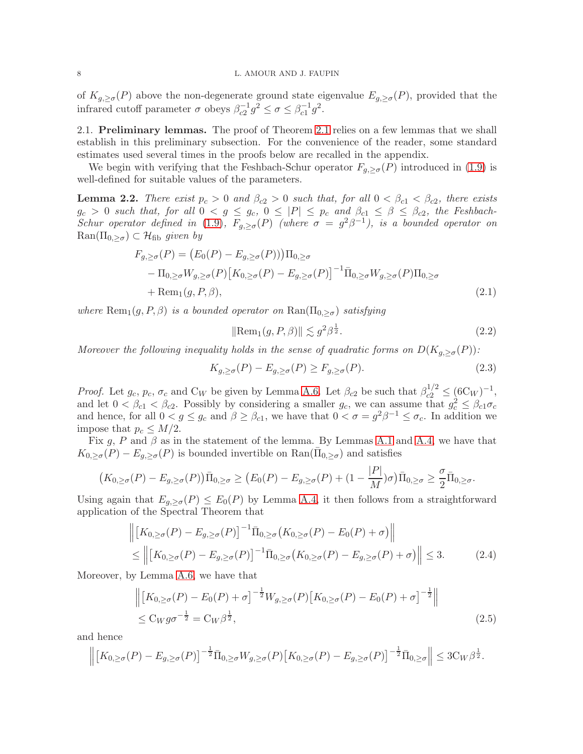of  $K_{g,\geq \sigma}(P)$  above the non-degenerate ground state eigenvalue  $E_{g,\geq \sigma}(P)$ , provided that the infrared cutoff parameter  $\sigma$  obeys  $\beta_{c2}^{-1} g^2 \leq \sigma \leq \beta_{c1}^{-1} g^2$ .

2.1. Preliminary lemmas. The proof of Theorem [2.1](#page-6-1) relies on a few lemmas that we shall establish in this preliminary subsection. For the convenience of the reader, some standard estimates used several times in the proofs below are recalled in the appendix.

We begin with verifying that the Feshbach-Schur operator  $F_{g,\geq\sigma}(P)$  introduced in [\(1.9\)](#page-5-0) is well-defined for suitable values of the parameters.

<span id="page-7-0"></span>**Lemma 2.2.** There exist  $p_c > 0$  and  $\beta_{c2} > 0$  such that, for all  $0 < \beta_{c1} < \beta_{c2}$ , there exists  $g_c > 0$  such that, for all  $0 < g \leq g_c$ ,  $0 \leq |P| \leq p_c$  and  $\beta_{c1} \leq \beta \leq \beta_{c2}$ , the Feshbach-Schur operator defined in [\(1.9\)](#page-5-0),  $F_{g,\geq \sigma}(P)$  (where  $\sigma = g^2\beta^{-1}$ ), is a bounded operator on  $\text{Ran}(\Pi_{0,\geq\sigma})\subset\mathcal{H}_{\text{fib}}$  given by

$$
F_{g,\geq\sigma}(P) = (E_0(P) - E_{g,\geq\sigma}(P)))\Pi_{0,\geq\sigma}
$$
  
\n
$$
- \Pi_{0,\geq\sigma}W_{g,\geq\sigma}(P)[K_{0,\geq\sigma}(P) - E_{g,\geq\sigma}(P)]^{-1}\bar{\Pi}_{0,\geq\sigma}W_{g,\geq\sigma}(P)\Pi_{0,\geq\sigma}
$$
  
\n
$$
+ \text{Rem}_1(g,P,\beta),
$$
\n(2.1)

where  $\text{Rem}_1(g, P, \beta)$  is a bounded operator on  $\text{Ran}(\Pi_{0, \geq \sigma})$  satisfying

<span id="page-7-5"></span><span id="page-7-4"></span><span id="page-7-3"></span>
$$
\|\text{Rem}_1(g, P, \beta)\| \lesssim g^2 \beta^{\frac{1}{2}}.
$$
\n(2.2)

Moreover the following inequality holds in the sense of quadratic forms on  $D(K_{q,>\sigma}(P))$ :

<span id="page-7-1"></span>
$$
K_{g,\geq\sigma}(P) - E_{g,\geq\sigma}(P) \geq F_{g,\geq\sigma}(P). \tag{2.3}
$$

*Proof.* Let  $g_c$ ,  $p_c$ ,  $\sigma_c$  and  $C_W$  be given by Lemma [A.6.](#page-20-7) Let  $\beta_{c2}$  be such that  $\beta_{c2}^{1/2} \leq (6C_W)^{-1}$ , and let  $0 < \beta_{c1} < \beta_{c2}$ . Possibly by considering a smaller  $g_c$ , we can assume that  $g_c^2 \leq \beta_{c1}\sigma_c$ and hence, for all  $0 < g \le g_c$  and  $\beta \ge \beta_{c1}$ , we have that  $0 < \sigma = g^2 \beta^{-1} \le \sigma_c$ . In addition we impose that  $p_c \leq M/2$ .

Fix g, P and  $\beta$  as in the statement of the lemma. By Lemmas [A.1](#page-18-0) and [A.4,](#page-19-0) we have that  $K_{0,\geq\sigma}(P) - E_{g,\geq\sigma}(P)$  is bounded invertible on  $\text{Ran}(\overline{\Pi}_{0,\geq\sigma})$  and satisfies

$$
(K_{0,\geq\sigma}(P)-E_{g,\geq\sigma}(P))\overline{\Pi}_{0,\geq\sigma}\geq (E_0(P)-E_{g,\geq\sigma}(P)+(1-\frac{|P|}{M})\sigma)\overline{\Pi}_{0,\geq\sigma}\geq \frac{\sigma}{2}\overline{\Pi}_{0,\geq\sigma}.
$$

Using again that  $E_{g,\geq\sigma}(P) \leq E_0(P)$  by Lemma [A.4,](#page-19-0) it then follows from a straightforward application of the Spectral Theorem that

$$
\left\| \left[ K_{0,\geq\sigma}(P) - E_{g,\geq\sigma}(P) \right]^{-1} \bar{\Pi}_{0,\geq\sigma} \left( K_{0,\geq\sigma}(P) - E_0(P) + \sigma \right) \right\|
$$
\n
$$
\leq \left\| \left[ K_{0,\geq\sigma}(P) - E_{g,\geq\sigma}(P) \right]^{-1} \bar{\Pi}_{0,\geq\sigma} \left( K_{0,\geq\sigma}(P) - E_{g,\geq\sigma}(P) + \sigma \right) \right\| \leq 3. \tag{2.4}
$$

Moreover, by Lemma [A.6,](#page-20-7) we have that

<span id="page-7-2"></span>
$$
\left\| \left[ K_{0,\geq\sigma}(P) - E_0(P) + \sigma \right]^{-\frac{1}{2}} W_{g,\geq\sigma}(P) \left[ K_{0,\geq\sigma}(P) - E_0(P) + \sigma \right]^{-\frac{1}{2}} \right\|
$$
  
 
$$
\leq C_W g \sigma^{-\frac{1}{2}} = C_W \beta^{\frac{1}{2}}, \tag{2.5}
$$

and hence

$$
\left\| \left[K_{0,\geq\sigma}(P) - E_{g,\geq\sigma}(P) \right]^{-\frac{1}{2}} \bar{\Pi}_{0,\geq\sigma} W_{g,\geq\sigma}(P) \left[K_{0,\geq\sigma}(P) - E_{g,\geq\sigma}(P) \right]^{-\frac{1}{2}} \bar{\Pi}_{0,\geq\sigma} \right\| \leq 3C_W\beta^{\frac{1}{2}}.
$$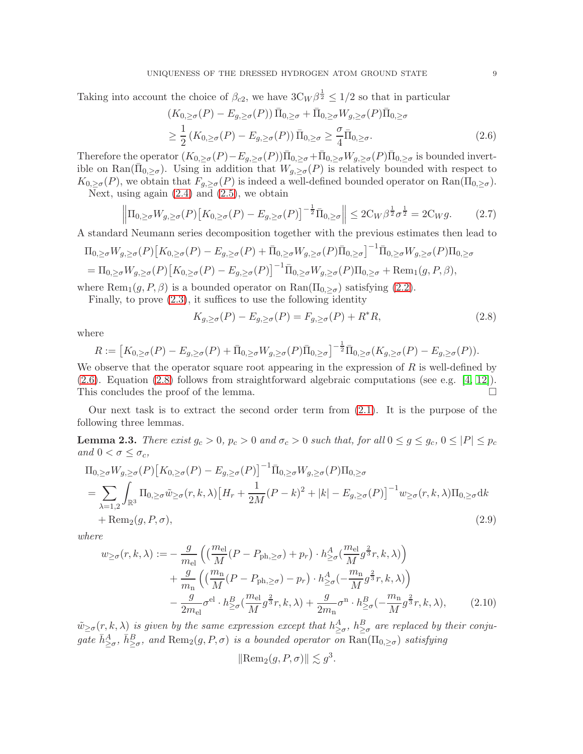Taking into account the choice of  $\beta_{c2}$ , we have  $3C_W \beta^{\frac{1}{2}} \leq 1/2$  so that in particular

<span id="page-8-0"></span>
$$
(K_{0,\geq\sigma}(P) - E_{g,\geq\sigma}(P)) \overline{\Pi}_{0,\geq\sigma} + \overline{\Pi}_{0,\geq\sigma} W_{g,\geq\sigma}(P) \overline{\Pi}_{0,\geq\sigma}
$$
  

$$
\geq \frac{1}{2} (K_{0,\geq\sigma}(P) - E_{g,\geq\sigma}(P)) \overline{\Pi}_{0,\geq\sigma} \geq \frac{\sigma}{4} \overline{\Pi}_{0,\geq\sigma}.
$$
 (2.6)

Therefore the operator  $(K_{0,\geq\sigma}(P)-E_{g,\geq\sigma}(P))\overline{\Pi}_{0,\geq\sigma}+\overline{\Pi}_{0,\geq\sigma}W_{g,\geq\sigma}(P)\overline{\Pi}_{0,\geq\sigma}$  is bounded invertible on Ran( $\overline{\Pi}_{0,\geq\sigma}$ ). Using in addition that  $W_{g,\geq\sigma}(P)$  is relatively bounded with respect to  $K_{0,\geq\sigma}(P)$ , we obtain that  $F_{g,\geq\sigma}(P)$  is indeed a well-defined bounded operator on  $\text{Ran}(\Pi_{0,\geq\sigma})$ .

Next, using again  $(2.4)$  and  $(2.5)$ , we obtain

$$
\left\|\Pi_{0,\geq\sigma}W_{g,\geq\sigma}(P)\left[K_{0,\geq\sigma}(P)-E_{g,\geq\sigma}(P)\right]^{-\frac{1}{2}}\overline{\Pi}_{0,\geq\sigma}\right\|\leq 2C_W\beta^{\frac{1}{2}}\sigma^{\frac{1}{2}}=2C_Wg.\tag{2.7}
$$

A standard Neumann series decomposition together with the previous estimates then lead to

$$
\Pi_{0,\geq\sigma}W_{g,\geq\sigma}(P)\left[K_{0,\geq\sigma}(P)-E_{g,\geq\sigma}(P)+\bar{\Pi}_{0,\geq\sigma}W_{g,\geq\sigma}(P)\bar{\Pi}_{0,\geq\sigma}\right]^{-1}\bar{\Pi}_{0,\geq\sigma}W_{g,\geq\sigma}(P)\Pi_{0,\geq\sigma}
$$
\n
$$
=\Pi_{0,\geq\sigma}W_{g,\geq\sigma}(P)\left[K_{0,\geq\sigma}(P)-E_{g,\geq\sigma}(P)\right]^{-1}\bar{\Pi}_{0,\geq\sigma}W_{g,\geq\sigma}(P)\Pi_{0,\geq\sigma}+\text{Rem}_1(g,P,\beta),
$$

where  $\text{Rem}_1(g, P, \beta)$  is a bounded operator on  $\text{Ran}(\Pi_{0, \geq \sigma})$  satisfying [\(2.2\)](#page-7-3).

Finally, to prove [\(2.3\)](#page-7-4), it suffices to use the following identity

<span id="page-8-4"></span><span id="page-8-1"></span>
$$
K_{g,\geq\sigma}(P) - E_{g,\geq\sigma}(P) = F_{g,\geq\sigma}(P) + R^*R,\tag{2.8}
$$

where

$$
R := \left[ K_{0,\geq\sigma}(P) - E_{g,\geq\sigma}(P) + \bar{\Pi}_{0,\geq\sigma} W_{g,\geq\sigma}(P) \bar{\Pi}_{0,\geq\sigma} \right]^{-\frac{1}{2}} \bar{\Pi}_{0,\geq\sigma}(K_{g,\geq\sigma}(P) - E_{g,\geq\sigma}(P)).
$$

We observe that the operator square root appearing in the expression of  $R$  is well-defined by [\(2.6\)](#page-8-0). Equation [\(2.8\)](#page-8-1) follows from straightforward algebraic computations (see e.g. [\[4,](#page-20-6) [12\]](#page-21-6)). This concludes the proof of the lemma.

Our next task is to extract the second order term from  $(2.1)$ . It is the purpose of the following three lemmas.

<span id="page-8-3"></span>**Lemma 2.3.** There exist  $g_c > 0$ ,  $p_c > 0$  and  $\sigma_c > 0$  such that, for all  $0 \le g \le g_c$ ,  $0 \le |P| \le p_c$ and  $0 < \sigma \leq \sigma_c$ ,

$$
\Pi_{0,\geq\sigma}W_{g,\geq\sigma}(P)\left[K_{0,\geq\sigma}(P)-E_{g,\geq\sigma}(P)\right]^{-1}\bar{\Pi}_{0,\geq\sigma}W_{g,\geq\sigma}(P)\Pi_{0,\geq\sigma}
$$
\n
$$
=\sum_{\lambda=1,2}\int_{\mathbb{R}^3}\Pi_{0,\geq\sigma}\tilde{w}_{\geq\sigma}(r,k,\lambda)\left[H_r+\frac{1}{2M}(P-k)^2+|k|-E_{g,\geq\sigma}(P)\right]^{-1}w_{\geq\sigma}(r,k,\lambda)\Pi_{0,\geq\sigma}dk
$$
\n
$$
+\operatorname{Rem}_2(g,P,\sigma),
$$
\n(2.9)

where

$$
w_{\geq \sigma}(r, k, \lambda) := -\frac{g}{m_{\text{el}}} \left( \left( \frac{m_{\text{el}}}{M} (P - P_{\text{ph}, \geq \sigma}) + p_r \right) \cdot h_{\geq \sigma}^A \left( \frac{m_{\text{el}}}{M} g^{\frac{2}{3}} r, k, \lambda \right) \right) + \frac{g}{m_{\text{n}}} \left( \left( \frac{m_{\text{n}}}{M} (P - P_{\text{ph}, \geq \sigma}) - p_r \right) \cdot h_{\geq \sigma}^A \left( -\frac{m_{\text{n}}}{M} g^{\frac{2}{3}} r, k, \lambda \right) \right) - \frac{g}{2m_{\text{el}}} \sigma^{\text{el}} \cdot h_{\geq \sigma}^B \left( \frac{m_{\text{el}}}{M} g^{\frac{2}{3}} r, k, \lambda \right) + \frac{g}{2m_{\text{n}}} \sigma^{\text{n}} \cdot h_{\geq \sigma}^B \left( -\frac{m_{\text{n}}}{M} g^{\frac{2}{3}} r, k, \lambda \right), \tag{2.10}
$$

 $\tilde{w}_{\geq \sigma}(r,k,\lambda)$  is given by the same expression except that  $h^A_{\geq \sigma}$ ,  $h^B_{\geq \sigma}$  are replaced by their conjugate  $\bar{h}^A_{\geq \sigma}$ ,  $\bar{h}^B_{\geq \sigma}$ , and  $\text{Rem}_2(g, P, \sigma)$  is a bounded operator on  $\text{Ran}(\Pi_{0, \geq \sigma})$  satisfying

<span id="page-8-2"></span>
$$
\|\text{Rem}_2(g, P, \sigma)\| \lesssim g^3.
$$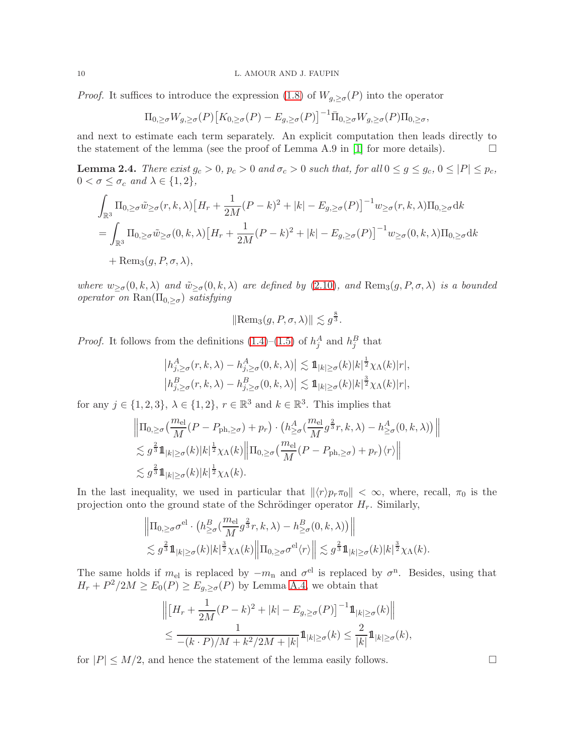*Proof.* It suffices to introduce the expression [\(1.8\)](#page-4-0) of  $W_{g,\geq\sigma}(P)$  into the operator

$$
\Pi_{0,\geq\sigma}W_{g,\geq\sigma}(P)\big[K_{0,\geq\sigma}(P)-E_{g,\geq\sigma}(P)\big]^{-1}\bar{\Pi}_{0,\geq\sigma}W_{g,\geq\sigma}(P)\Pi_{0,\geq\sigma},
$$

and next to estimate each term separately. An explicit computation then leads directly to the statement of the lemma (see the proof of Lemma A.9 in [\[1\]](#page-20-1) for more details).  $\Box$ 

**Lemma 2.4.** There exist  $g_c > 0$ ,  $p_c > 0$  and  $\sigma_c > 0$  such that, for all  $0 \le g \le g_c$ ,  $0 \le |P| \le p_c$ ,  $0 < \sigma \leq \sigma_c$  and  $\lambda \in \{1, 2\},\$ 

$$
\int_{\mathbb{R}^3} \Pi_{0,\geq \sigma} \tilde{w}_{\geq \sigma}(r,k,\lambda) \left[ H_r + \frac{1}{2M} (P-k)^2 + |k| - E_{g,\geq \sigma}(P) \right]^{-1} w_{\geq \sigma}(r,k,\lambda) \Pi_{0,\geq \sigma} dk
$$
\n
$$
= \int_{\mathbb{R}^3} \Pi_{0,\geq \sigma} \tilde{w}_{\geq \sigma}(0,k,\lambda) \left[ H_r + \frac{1}{2M} (P-k)^2 + |k| - E_{g,\geq \sigma}(P) \right]^{-1} w_{\geq \sigma}(0,k,\lambda) \Pi_{0,\geq \sigma} dk
$$
\n
$$
+ \text{Rem}_3(g,P,\sigma,\lambda),
$$

where  $w_{\geq \sigma}(0, k, \lambda)$  and  $\tilde{w}_{\geq \sigma}(0, k, \lambda)$  are defined by [\(2.10\)](#page-8-2), and  $\text{Rem}_3(g, P, \sigma, \lambda)$  is a bounded operator on  $\text{Ran}(\Pi_{0,\geq\sigma})$  satisfying

$$
\|\text{Rem}_3(g, P, \sigma, \lambda)\| \lesssim g^{\frac{8}{3}}.
$$

*Proof.* It follows from the definitions  $(1.4)$ – $(1.5)$  of  $h_j^A$  and  $h_j^B$  that

$$
\left| h_{j,\geq\sigma}^{A}(r,k,\lambda) - h_{j,\geq\sigma}^{A}(0,k,\lambda) \right| \lesssim \mathbb{1}_{|k|\geq\sigma}(k)|k|^{\frac{1}{2}} \chi_{\Lambda}(k)|r|,
$$
  

$$
\left| h_{j,\geq\sigma}^{B}(r,k,\lambda) - h_{j,\geq\sigma}^{B}(0,k,\lambda) \right| \lesssim \mathbb{1}_{|k|\geq\sigma}(k)|k|^{\frac{3}{2}} \chi_{\Lambda}(k)|r|,
$$

for any  $j \in \{1, 2, 3\}, \lambda \in \{1, 2\}, r \in \mathbb{R}^3$  and  $k \in \mathbb{R}^3$ . This implies that

$$
\|\Pi_{0,\geq\sigma}\left(\frac{m_{\text{el}}}{M}(P-P_{\text{ph},\geq\sigma})+p_{r}\right)\cdot\left(h_{\geq\sigma}^{A}\left(\frac{m_{\text{el}}}{M}g^{\frac{2}{3}}r,k,\lambda\right)-h_{\geq\sigma}^{A}(0,k,\lambda)\right)\| \n\lesssim g^{\frac{2}{3}}\mathbb{1}_{|k|\geq\sigma}(k)|k|^{\frac{1}{2}}\chi_{\Lambda}(k)\|\Pi_{0,\geq\sigma}\left(\frac{m_{\text{el}}}{M}(P-P_{\text{ph},\geq\sigma})+p_{r}\right)\langle r\rangle\| \n\lesssim g^{\frac{2}{3}}\mathbb{1}_{|k|\geq\sigma}(k)|k|^{\frac{1}{2}}\chi_{\Lambda}(k).
$$

In the last inequality, we used in particular that  $\|\langle r \rangle p_r \pi_0\| < \infty$ , where, recall,  $\pi_0$  is the projection onto the ground state of the Schrödinger operator  $H_r$ . Similarly,

$$
\|\Pi_{0,\geq\sigma}\sigma^{\text{el}}\cdot\left(h_{\geq\sigma}^B(\frac{m_{\text{el}}}{M}g^{\frac{2}{3}}r,k,\lambda)-h_{\geq\sigma}^B(0,k,\lambda)\right)\|\\\lesssim g^{\frac{2}{3}}1\!\!1_{|k|\geq\sigma}(k)|k|^{\frac{3}{2}}\chi_{\Lambda}(k)\big\|\Pi_{0,\geq\sigma}\sigma^{\text{el}}\langle r\rangle\big\|\lesssim g^{\frac{2}{3}}1\!\!1_{|k|\geq\sigma}(k)|k|^{\frac{3}{2}}\chi_{\Lambda}(k).
$$

The same holds if  $m_{el}$  is replaced by  $-m_n$  and  $\sigma^{el}$  is replaced by  $\sigma^n$ . Besides, using that  $H_r + P^2/2M \ge E_0(P) \ge E_{g,\ge \sigma}(P)$  by Lemma [A.4,](#page-19-0) we obtain that

$$
\left\| \left[ H_r + \frac{1}{2M} (P - k)^2 + |k| - E_{g, \ge \sigma}(P) \right]^{-1} 1\!\!1_{|k| \ge \sigma}(k) \right\|
$$
  
 
$$
\le \frac{1}{-(k \cdot P)/M + k^2/2M + |k|} 1\!\!1_{|k| \ge \sigma}(k) \le \frac{2}{|k|} 1\!\!1_{|k| \ge \sigma}(k),
$$

for  $|P| \leq M/2$ , and hence the statement of the lemma easily follows.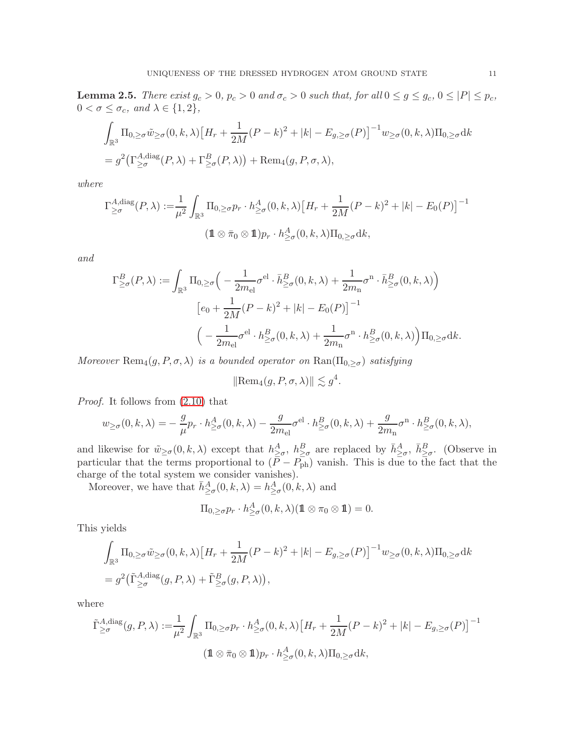<span id="page-10-0"></span>**Lemma 2.5.** There exist  $g_c > 0$ ,  $p_c > 0$  and  $\sigma_c > 0$  such that, for all  $0 \le g \le g_c$ ,  $0 \le |P| \le p_c$ ,  $0 < \sigma \leq \sigma_c$ , and  $\lambda \in \{1, 2\}$ ,

$$
\int_{\mathbb{R}^3} \Pi_{0,\geq \sigma} \tilde{w}_{\geq \sigma}(0,k,\lambda) \left[ H_r + \frac{1}{2M} (P-k)^2 + |k| - E_{g,\geq \sigma}(P) \right]^{-1} w_{\geq \sigma}(0,k,\lambda) \Pi_{0,\geq \sigma} dk
$$
\n
$$
= g^2 \left( \Gamma^{A,\text{diag}}_{\geq \sigma}(P,\lambda) + \Gamma^{B}_{\geq \sigma}(P,\lambda) \right) + \text{Rem}_4(g,P,\sigma,\lambda),
$$

where

$$
\Gamma^{A,\text{diag}}_{\geq \sigma}(P,\lambda) := \frac{1}{\mu^2} \int_{\mathbb{R}^3} \Pi_{0,\geq \sigma} p_r \cdot h^A_{\geq \sigma}(0,k,\lambda) \left[ H_r + \frac{1}{2M} (P-k)^2 + |k| - E_0(P) \right]^{-1}
$$

$$
(\mathbf{1} \otimes \bar{\pi}_0 \otimes \mathbf{1}) p_r \cdot h^A_{\geq \sigma}(0,k,\lambda) \Pi_{0,\geq \sigma} dk,
$$

and

$$
\Gamma_{\geq \sigma}^{B}(P,\lambda) := \int_{\mathbb{R}^3} \Pi_{0,\geq \sigma} \Big( -\frac{1}{2m_{\text{el}}} \sigma^{\text{el}} \cdot \bar{h}_{\geq \sigma}^{B}(0,k,\lambda) + \frac{1}{2m_{\text{n}}} \sigma^{\text{n}} \cdot \bar{h}_{\geq \sigma}^{B}(0,k,\lambda) \Big)
$$

$$
[e_0 + \frac{1}{2M} (P-k)^2 + |k| - E_0(P)]^{-1}
$$

$$
\Big( -\frac{1}{2m_{\text{el}}} \sigma^{\text{el}} \cdot h_{\geq \sigma}^{B}(0,k,\lambda) + \frac{1}{2m_{\text{n}}} \sigma^{\text{n}} \cdot h_{\geq \sigma}^{B}(0,k,\lambda) \Big) \Pi_{0,\geq \sigma} \mathrm{d}k.
$$

Moreover Rem<sub>4</sub> $(g, P, \sigma, \lambda)$  is a bounded operator on Ran( $\Pi_{0, \geq \sigma}$ ) satisfying

$$
\|\text{Rem}_4(g, P, \sigma, \lambda)\| \lesssim g^4.
$$

Proof. It follows from [\(2.10\)](#page-8-2) that

$$
w_{\geq \sigma}(0,k,\lambda)=-\frac{g}{\mu}p_r\cdot h^A_{\geq \sigma}(0,k,\lambda)-\frac{g}{2m_{\rm el}}\sigma^{\rm el}\cdot h^B_{\geq \sigma}(0,k,\lambda)+\frac{g}{2m_{\rm n}}\sigma^{\rm n}\cdot h^B_{\geq \sigma}(0,k,\lambda),
$$

and likewise for  $\tilde{w}_{\geq \sigma}(0, k, \lambda)$  except that  $h^A_{\geq \sigma}$ ,  $h^B_{\geq \sigma}$  are replaced by  $\bar{h}^A_{\geq \sigma}$ ,  $\bar{h}^B_{\geq \sigma}$ . (Observe in particular that the terms proportional to  $(P - P_{ph})$  vanish. This is due to the fact that the charge of the total system we consider vanishes).

Moreover, we have that  $\bar{h}^A_{\geq \sigma}(0, k, \lambda) = h^A_{\geq \sigma}(0, k, \lambda)$  and

$$
\Pi_{0,\geq \sigma} p_r \cdot h^A_{\geq \sigma}(0,k,\lambda) (\mathbf{1} \otimes \pi_0 \otimes \mathbf{1}) = 0.
$$

This yields

$$
\int_{\mathbb{R}^3} \Pi_{0,\geq \sigma} \tilde{w}_{\geq \sigma}(0,k,\lambda) \left[ H_r + \frac{1}{2M} (P-k)^2 + |k| - E_{g,\geq \sigma}(P) \right]^{-1} w_{\geq \sigma}(0,k,\lambda) \Pi_{0,\geq \sigma} dk
$$
\n
$$
= g^2 \left( \tilde{\Gamma}^{A,\text{diag}}_{\geq \sigma}(g,P,\lambda) + \tilde{\Gamma}^B_{\geq \sigma}(g,P,\lambda) \right),
$$

where

$$
\tilde{\Gamma}^{A,\text{diag}}_{\geq \sigma}(g, P, \lambda) := \frac{1}{\mu^2} \int_{\mathbb{R}^3} \Pi_{0,\geq \sigma} p_r \cdot h^A_{\geq \sigma}(0, k, \lambda) \left[ H_r + \frac{1}{2M} (P - k)^2 + |k| - E_{g,\geq \sigma}(P) \right]^{-1}
$$
\n
$$
(\mathbf{1} \otimes \bar{\pi}_0 \otimes \mathbf{1}) p_r \cdot h^A_{\geq \sigma}(0, k, \lambda) \Pi_{0,\geq \sigma} \mathrm{d}k,
$$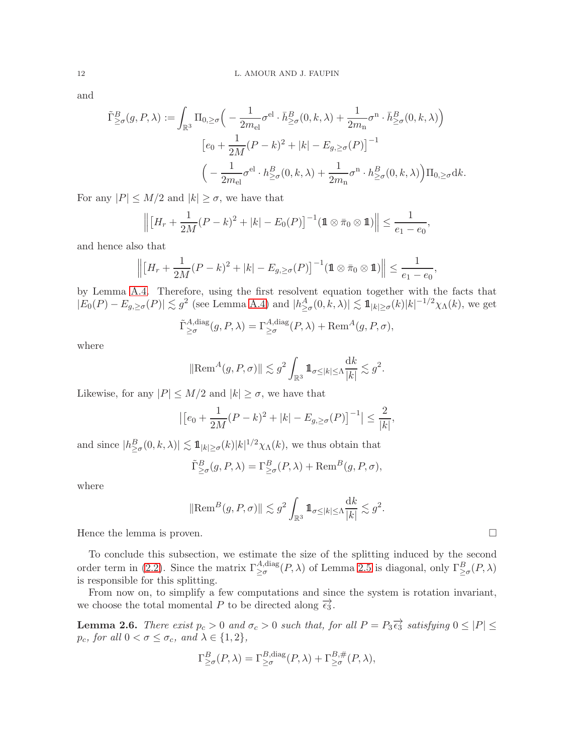and

$$
\tilde{\Gamma}^{B}_{\geq \sigma}(g, P, \lambda) := \int_{\mathbb{R}^3} \Pi_{0, \geq \sigma} \Big( -\frac{1}{2m_{\text{el}}} \sigma^{\text{el}} \cdot \bar{h}^{B}_{\geq \sigma}(0, k, \lambda) + \frac{1}{2m_{\text{n}}} \sigma^{\text{n}} \cdot \bar{h}^{B}_{\geq \sigma}(0, k, \lambda) \Big)
$$

$$
\left[ e_0 + \frac{1}{2M} (P - k)^2 + |k| - E_{g, \geq \sigma}(P) \right]^{-1}
$$

$$
\Big( -\frac{1}{2m_{\text{el}}} \sigma^{\text{el}} \cdot h^{B}_{\geq \sigma}(0, k, \lambda) + \frac{1}{2m_{\text{n}}} \sigma^{\text{n}} \cdot h^{B}_{\geq \sigma}(0, k, \lambda) \Big) \Pi_{0, \geq \sigma} \mathrm{d}k.
$$

For any  $|P| \leq M/2$  and  $|k| \geq \sigma$ , we have that

$$
\left\| \left[ H_r + \frac{1}{2M} (P - k)^2 + |k| - E_0(P) \right]^{-1} (\mathbf{1} \otimes \bar{\pi}_0 \otimes \mathbf{1}) \right\| \le \frac{1}{e_1 - e_0},
$$

and hence also that

$$
\left\| \left[ H_r + \frac{1}{2M} (P - k)^2 + |k| - E_{g, \ge \sigma}(P) \right]^{-1} (\mathbb{1} \otimes \bar{\pi}_0 \otimes \mathbb{1}) \right\| \le \frac{1}{e_1 - e_0},
$$

by Lemma [A.4.](#page-19-0) Therefore, using the first resolvent equation together with the facts that  $|E_0(P) - E_{g,\geq \sigma}(P)| \lesssim g^2$  (see Lemma [A.4\)](#page-19-0) and  $|h_{\geq \sigma}^A(0, \bar{k}, \lambda)| \lesssim 1\!\!1_{|k|\geq \sigma}(k)|k|^{-1/2}\chi_\Lambda(k)$ , we get

$$
\tilde{\Gamma}_{\geq \sigma}^{A, \text{diag}}(g, P, \lambda) = \Gamma_{\geq \sigma}^{A, \text{diag}}(P, \lambda) + \text{Rem}^A(g, P, \sigma),
$$

where

$$
\|\text{Rem}^A(g, P, \sigma)\| \lesssim g^2 \int_{\mathbb{R}^3} \mathbb{1}_{\sigma \le |k| \le \Lambda} \frac{dk}{|k|} \lesssim g^2.
$$

Likewise, for any  $|P| \leq M/2$  and  $|k| \geq \sigma$ , we have that

$$
\left| \left[ e_0 + \frac{1}{2M} (P - k)^2 + |k| - E_{g, \ge \sigma}(P) \right]^{-1} \right| \le \frac{2}{|k|},
$$

and since  $|h_{\geq \sigma}^B(0, k, \lambda)| \lesssim \mathbb{1}_{|k|\geq \sigma}(k)|k|^{1/2}\chi_{\Lambda}(k)$ , we thus obtain that

$$
\tilde{\Gamma}^{B}_{\geq \sigma}(g, P, \lambda) = \Gamma^{B}_{\geq \sigma}(P, \lambda) + \text{Rem}^{B}(g, P, \sigma),
$$

where

$$
\|\text{Rem}^B(g, P, \sigma)\| \lesssim g^2 \int_{\mathbb{R}^3} \mathbb{1}_{\sigma \le |k| \le \Lambda} \frac{dk}{|k|} \lesssim g^2.
$$

Hence the lemma is proven.

To conclude this subsection, we estimate the size of the splitting induced by the second order term in [\(2.2\)](#page-7-3). Since the matrix  $\Gamma^{A,\text{diag}}_{\geq \sigma}(P,\lambda)$  of Lemma [2.5](#page-10-0) is diagonal, only  $\Gamma^B_{\geq \sigma}(P,\lambda)$ is responsible for this splitting.

From now on, to simplify a few computations and since the system is rotation invariant, we choose the total momental P to be directed along  $\overrightarrow{\epsilon_3}$ .

<span id="page-11-0"></span>**Lemma 2.6.** There exist  $p_c > 0$  and  $\sigma_c > 0$  such that, for all  $P = P_3 \overrightarrow{\epsilon_3}$  satisfying  $0 \leq |P| \leq$  $p_c$ , for all  $0 < \sigma \leq \sigma_c$ , and  $\lambda \in \{1, 2\}$ ,

$$
\Gamma^B_{\geq \sigma}(P,\lambda) = \Gamma^{B,\text{diag}}_{\geq \sigma}(P,\lambda) + \Gamma^{B,\#}_{\geq \sigma}(P,\lambda),
$$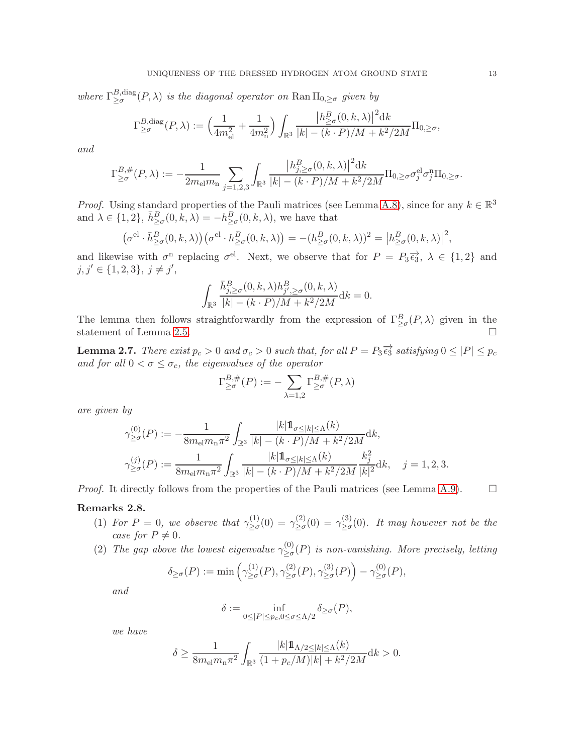where  $\Gamma^{B,\text{diag}}_{\geq \sigma}$  $\sum_{\alpha=0}^{B,\text{diag}}(P,\lambda)$  is the diagonal operator on  $\text{Ran}\,\Pi_{0,\geq\sigma}$  given by

$$
\Gamma_{\geq \sigma}^{B,\text{diag}}(P,\lambda) := \left(\frac{1}{4m_{\text{el}}^2} + \frac{1}{4m_{\text{n}}^2}\right) \int_{\mathbb{R}^3} \frac{\left|h_{\geq \sigma}^B(0,k,\lambda)\right|^2 \mathrm{d}k}{|k| - (k \cdot P)/M + k^2/2M} \Pi_{0,\geq \sigma},
$$

and

$$
\Gamma_{\geq \sigma}^{B,\#}(P,\lambda) := -\frac{1}{2m_{\text{el}}m_{\text{n}}}\sum_{j=1,2,3}\int_{\mathbb{R}^3}\frac{\left|h_{j,\geq \sigma}^B(0,k,\lambda)\right|^2\mathrm{d}k}{|k|-(k\cdot P)/M+k^2/2M}\Pi_{0,\geq \sigma}\sigma_j^{\text{el}}\sigma_j^{\text{n}}\Pi_{0,\geq \sigma}.
$$

*Proof.* Using standard properties of the Pauli matrices (see Lemma [A.8\)](#page-20-8), since for any  $k \in \mathbb{R}^3$ and  $\lambda \in \{1, 2\}, \bar{h}^B_{\geq \sigma}(0, k, \lambda) = -h^B_{\geq \sigma}(0, k, \lambda)$ , we have that

$$
\left(\sigma^{\text{el}} \cdot \bar{h}^B_{\geq \sigma}(0, k, \lambda)\right) \left(\sigma^{\text{el}} \cdot h^B_{\geq \sigma}(0, k, \lambda)\right) = -(h^B_{\geq \sigma}(0, k, \lambda))^2 = \left|h^B_{\geq \sigma}(0, k, \lambda)\right|^2,
$$

and likewise with  $\sigma^n$  replacing  $\sigma^{el}$ . Next, we observe that for  $P = P_3 \overrightarrow{\epsilon_3}$ ,  $\lambda \in \{1,2\}$  and  $j, j' \in \{1, 2, 3\}, j \neq j',$ 

$$
\int_{\mathbb{R}^3} \frac{\bar{h}_{j,\geq \sigma}^B(0,k,\lambda) h_{j',\geq \sigma}^B(0,k,\lambda)}{|k| - (k \cdot P)/M + k^2/2M} \mathrm{d}k = 0.
$$

The lemma then follows straightforwardly from the expression of  $\Gamma^B_{\geq \sigma}(P,\lambda)$  given in the statement of Lemma [2.5.](#page-10-0)  $\Box$ 

<span id="page-12-0"></span>**Lemma 2.7.** There exist  $p_c > 0$  and  $\sigma_c > 0$  such that, for all  $P = P_3 \overrightarrow{\epsilon_3}$  satisfying  $0 \leq |P| \leq p_c$ and for all  $0 < \sigma \leq \sigma_c$ , the eigenvalues of the operator

$$
\Gamma_{\geq \sigma}^{B,\#}(P) := -\sum_{\lambda=1,2} \Gamma_{\geq \sigma}^{B,\#}(P,\lambda)
$$

are given by

$$
\begin{split} &\gamma^{(0)}_{\geq \sigma}(P):=-\frac{1}{8m_{\rm el}m_{\rm n}\pi^2}\int_{\mathbb{R}^3}\frac{|k|1\!\!1_{\sigma\leq |k|\leq \Lambda}(k)}{|k|-(k\cdot P)/M+k^2/2M}{\rm d}k,\\ &\gamma^{(j)}_{\geq \sigma}(P):=\frac{1}{8m_{\rm el}m_{\rm n}\pi^2}\int_{\mathbb{R}^3}\frac{|k|1\!\!1_{\sigma\leq |k|\leq \Lambda}(k)}{|k|-(k\cdot P)/M+k^2/2M}\frac{k_j^2}{|k|^2}{\rm d}k,\quad j=1,2,3. \end{split}
$$

*Proof.* It directly follows from the properties of the Pauli matrices (see Lemma [A.9\)](#page-20-9).  $\Box$ 

#### <span id="page-12-1"></span>Remarks 2.8.

- (1) For  $P = 0$ , we observe that  $\gamma_{\geq \sigma}^{(1)}$  $\frac{\gamma^{(1)}_{\geq \sigma}(0)}{\geq \sigma} = \gamma^{(2)}_{\geq \sigma}$  $\chi^{(2)}_{\geq\sigma}(0)\,=\,\gamma^{(3)}_{\geq\sigma}$  $\sum_{n=0}^{\infty}$ (0). It may however not be the case for  $P \neq 0$ .
- <span id="page-12-2"></span>(2) The gap above the lowest eigenvalue  $\gamma_{>\sigma}^{(0)}$  $\sum_{\alpha=0}^{(0)}(P)$  is non-vanishing. More precisely, letting

$$
\delta_{\geq \sigma}(P) := \min \left( \gamma^{(1)}_{\geq \sigma}(P), \gamma^{(2)}_{\geq \sigma}(P), \gamma^{(3)}_{\geq \sigma}(P) \right) - \gamma^{(0)}_{\geq \sigma}(P),
$$

and

$$
\delta:=\inf_{0\le |P|\le p_c, 0\le \sigma\le \Lambda/2}\delta_{\ge \sigma}(P),
$$

we have

$$
\delta \ge \frac{1}{8m_{\rm el}m_{\rm n}\pi^2} \int_{\mathbb{R}^3} \frac{|k|1\!\!1_{\Lambda/2 \le |k| \le \Lambda}(k)}{(1 + p_c/M)|k| + k^2/2M} \mathrm{d}k > 0.
$$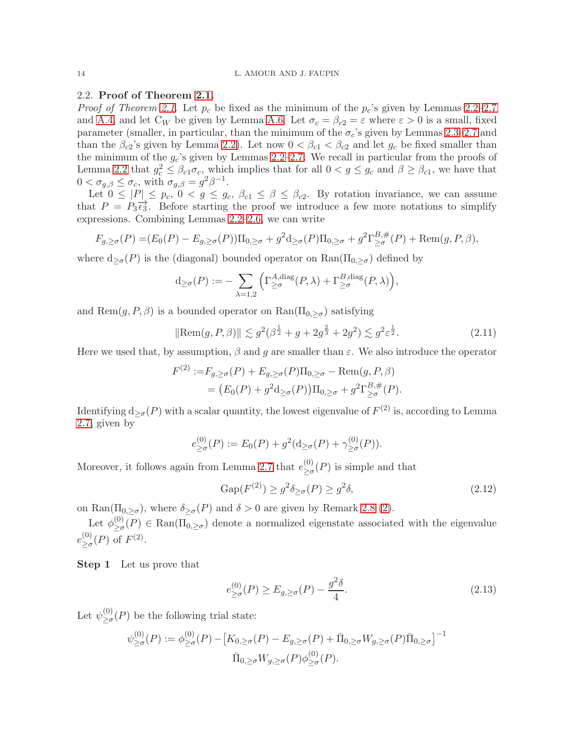## 2.2. Proof of Theorem [2.1.](#page-6-1)

*Proof of Theorem [2.1](#page-6-1).* Let  $p_c$  be fixed as the minimum of the  $p_c$ 's given by Lemmas [2.2–](#page-7-0)[2.7](#page-12-0) and [A.4,](#page-19-0) and let  $C_W$  be given by Lemma [A.6.](#page-20-7) Let  $\sigma_c = \beta_{c2} = \varepsilon$  where  $\varepsilon > 0$  is a small, fixed parameter (smaller, in particular, than the minimum of the  $\sigma_c$ 's given by Lemmas [2.3](#page-8-3)[–2.7](#page-12-0) and than the  $\beta_{c2}$ 's given by Lemma [2.2\)](#page-7-0). Let now  $0 < \beta_{c1} < \beta_{c2}$  and let  $g_c$  be fixed smaller than the minimum of the  $g_c$ 's given by Lemmas [2.2–](#page-7-0)[2.7.](#page-12-0) We recall in particular from the proofs of Lemma [2.2](#page-7-0) that  $g_c^2 \leq \beta_{c1}\sigma_c$ , which implies that for all  $0 < g \leq g_c$  and  $\beta \geq \beta_{c1}$ , we have that  $0 < \sigma_{g,\beta} \leq \sigma_c$ , with  $\sigma_{g,\beta} = g^2 \beta^{-1}$ .

Let  $0 \leq |P| \leq p_c$ ,  $0 < g \leq g_c$ ,  $\beta_{c1} \leq \beta \leq \beta_{c2}$ . By rotation invariance, we can assume that  $P = P_3 \vec{\epsilon}_3$ . Before starting the proof we introduce a few more notations to simplify expressions. Combining Lemmas [2.2–](#page-7-0)[2.6,](#page-11-0) we can write

$$
F_{g,\geq\sigma}(P) = (E_0(P) - E_{g,\geq\sigma}(P))\Pi_{0,\geq\sigma} + g^2 d_{\geq\sigma}(P)\Pi_{0,\geq\sigma} + g^2 \Gamma_{\geq\sigma}^{B,\#}(P) + \text{Rem}(g, P, \beta),
$$

where  $d_{\geq \sigma}(P)$  is the (diagonal) bounded operator on  $\text{Ran}(\Pi_{0,\geq \sigma})$  defined by

$$
\mathrm{d}_{\geq \sigma}(P) := -\sum_{\lambda=1,2} \left( \Gamma^{A,\mathrm{diag}}_{\geq \sigma}(P,\lambda) + \Gamma^{B,\mathrm{diag}}_{\geq \sigma}(P,\lambda) \right),\,
$$

and Rem $(g, P, \beta)$  is a bounded operator on  $\text{Ran}(\Pi_{0, \geq \sigma})$  satisfying

<span id="page-13-0"></span>
$$
\|\text{Rem}(g, P, \beta)\| \lesssim g^2(\beta^{\frac{1}{2}} + g + 2g^{\frac{2}{3}} + 2g^2) \lesssim g^2 \varepsilon^{\frac{1}{2}}.
$$
 (2.11)

Here we used that, by assumption,  $\beta$  and g are smaller than  $\varepsilon$ . We also introduce the operator

$$
F^{(2)} := F_{g,\geq \sigma}(P) + E_{g,\geq \sigma}(P)\Pi_{0,\geq \sigma} - \text{Rem}(g, P, \beta)
$$
  
=  $(E_0(P) + g^2 d_{\geq \sigma}(P))\Pi_{0,\geq \sigma} + g^2 \Gamma_{\geq \sigma}^{B,\#}(P).$ 

Identifying  $d_{\geq \sigma}(P)$  with a scalar quantity, the lowest eigenvalue of  $F^{(2)}$  is, according to Lemma [2.7,](#page-12-0) given by

$$
e_{\geq \sigma}^{(0)}(P) := E_0(P) + g^2(\mathrm{d}_{\geq \sigma}(P) + \gamma_{\geq \sigma}^{(0)}(P)).
$$

Moreover, it follows again from Lemma [2.7](#page-12-0) that  $e_{\geq a}^{(0)}$  $\sum_{\alpha=0}^{(0)} (P)$  is simple and that

<span id="page-13-2"></span>
$$
Gap(F^{(2)}) \ge g^2 \delta_{\ge \sigma}(P) \ge g^2 \delta,\tag{2.12}
$$

on Ran( $\Pi_{0,\geq\sigma}$ ), where  $\delta_{\geq\sigma}(P)$  and  $\delta>0$  are given by Remark [2.8](#page-12-1) [\(2\)](#page-12-2).

Let  $\phi_{\geq \sigma}^{(0)}$  $\sum_{\alpha=0}^{(0)}(P) \in \text{Ran}(\Pi_{0,\geq \sigma})$  denote a normalized eigenstate associated with the eigenvalue  $e_{>\sigma}^{(0)}$  $_{\geq\sigma}^{(0)}(P)$  of  $F^{(2)}$ .

Step 1 Let us prove that

<span id="page-13-1"></span>
$$
e_{\geq \sigma}^{(0)}(P) \geq E_{g,\geq \sigma}(P) - \frac{g^2 \delta}{4}.
$$
\n(2.13)

Let  $\psi^{(0)}_{\geq \sigma}$  $\sum_{\geq \sigma}^{(0)}(P)$  be the following trial state:

$$
\psi_{\geq \sigma}^{(0)}(P) := \phi_{\geq \sigma}^{(0)}(P) - [K_{0,\geq \sigma}(P) - E_{g,\geq \sigma}(P) + \bar{\Pi}_{0,\geq \sigma} W_{g,\geq \sigma}(P)\bar{\Pi}_{0,\geq \sigma}]^{-1}
$$

$$
\bar{\Pi}_{0,\geq \sigma} W_{g,\geq \sigma}(P)\phi_{\geq \sigma}^{(0)}(P).
$$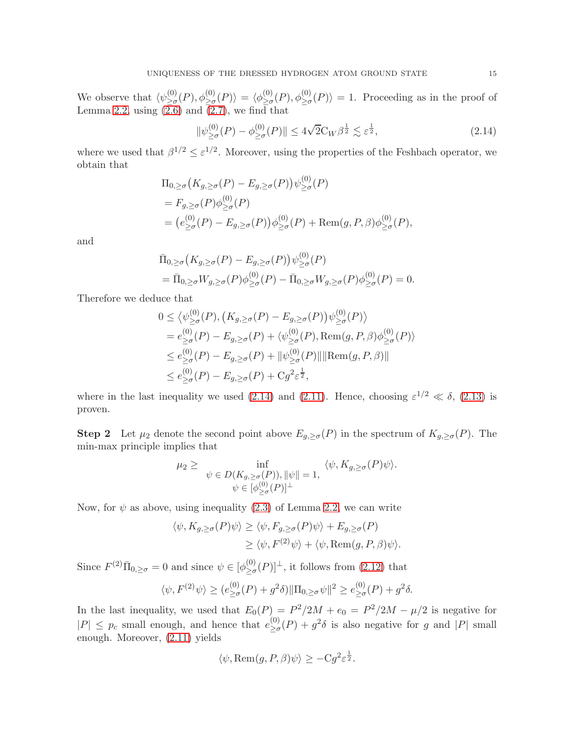We observe that  $\langle \psi^{(0)}_{\geq \sigma} \rangle$  $\langle 0| \rangle_{\geq \sigma}(P), \phi_{\geq \sigma}^{(0)}(P) \rangle = \langle \phi_{\geq \sigma}^{(0)} \rangle$  ${}_{\geq \sigma}^{(0)}(P), \phi_{\geq \sigma}^{(0)}(P) \rangle = 1.$  Proceeding as in the proof of Lemma [2.2,](#page-7-0) using  $(2.6)$  and  $(2.7)$ , we find that

<span id="page-14-0"></span>
$$
\|\psi_{\geq\sigma}^{(0)}(P) - \phi_{\geq\sigma}^{(0)}(P)\| \leq 4\sqrt{2}C_W\beta^{\frac{1}{2}} \lesssim \varepsilon^{\frac{1}{2}},\tag{2.14}
$$

where we used that  $\beta^{1/2} \leq \varepsilon^{1/2}$ . Moreover, using the properties of the Feshbach operator, we obtain that

$$
\Pi_{0,\geq\sigma}\big(K_{g,\geq\sigma}(P) - E_{g,\geq\sigma}(P)\big)\psi_{\geq\sigma}^{(0)}(P)
$$
\n
$$
= F_{g,\geq\sigma}(P)\phi_{\geq\sigma}^{(0)}(P)
$$
\n
$$
= (e_{\geq\sigma}^{(0)}(P) - E_{g,\geq\sigma}(P))\phi_{\geq\sigma}^{(0)}(P) + \text{Rem}(g, P, \beta)\phi_{\geq\sigma}^{(0)}(P),
$$

and

$$
\begin{split} \bar{\Pi}_{0,\geq\sigma}(K_{g,\geq\sigma}(P) - E_{g,\geq\sigma}(P))\psi_{\geq\sigma}^{(0)}(P) \\ &= \bar{\Pi}_{0,\geq\sigma}W_{g,\geq\sigma}(P)\phi_{\geq\sigma}^{(0)}(P) - \bar{\Pi}_{0,\geq\sigma}W_{g,\geq\sigma}(P)\phi_{\geq\sigma}^{(0)}(P) = 0. \end{split}
$$

Therefore we deduce that

$$
0 \leq \langle \psi_{\geq \sigma}^{(0)}(P), (K_{g,\geq \sigma}(P) - E_{g,\geq \sigma}(P)) \psi_{\geq \sigma}^{(0)}(P) \rangle
$$
  
\n
$$
= e_{\geq \sigma}^{(0)}(P) - E_{g,\geq \sigma}(P) + \langle \psi_{\geq \sigma}^{(0)}(P), \text{Rem}(g, P, \beta) \phi_{\geq \sigma}^{(0)}(P) \rangle
$$
  
\n
$$
\leq e_{\geq \sigma}^{(0)}(P) - E_{g,\geq \sigma}(P) + ||\psi_{\geq \sigma}^{(0)}(P)|| \text{Rem}(g, P, \beta)||
$$
  
\n
$$
\leq e_{\geq \sigma}^{(0)}(P) - E_{g,\geq \sigma}(P) + Cg^2 \varepsilon^{\frac{1}{2}},
$$

where in the last inequality we used [\(2.14\)](#page-14-0) and [\(2.11\)](#page-13-0). Hence, choosing  $\varepsilon^{1/2} \ll \delta$ , [\(2.13\)](#page-13-1) is proven.

**Step 2** Let  $\mu_2$  denote the second point above  $E_{g,\geq\sigma}(P)$  in the spectrum of  $K_{g,\geq\sigma}(P)$ . The min-max principle implies that

$$
\mu_2 \geq \inf_{\psi \in D(K_{g,\geq \sigma}(P)), \|\psi\| = 1, \qquad \langle \psi, K_{g,\geq \sigma}(P)\psi \rangle.
$$
  

$$
\psi \in [\phi_{\geq \sigma}^{(0)}(P)]^{\perp}
$$

Now, for  $\psi$  as above, using inequality [\(2.3\)](#page-7-4) of Lemma [2.2,](#page-7-0) we can write

$$
\langle \psi, K_{g,\geq \sigma}(P)\psi \rangle \geq \langle \psi, F_{g,\geq \sigma}(P)\psi \rangle + E_{g,\geq \sigma}(P)
$$
  
 
$$
\geq \langle \psi, F^{(2)}\psi \rangle + \langle \psi, \text{Rem}(g, P, \beta)\psi \rangle.
$$

Since  $F^{(2)}\overline{\Pi}_{0,\geq\sigma}=0$  and since  $\psi\in\lbrack\phi_{\geq\sigma}^{(0)}$  $\sum_{\geq \sigma}^{(0)}(P)$ <sup> $\perp$ </sup>, it follows from [\(2.12\)](#page-13-2) that

$$
\langle \psi, F^{(2)} \psi \rangle \ge (e^{(0)}_{\ge \sigma}(P) + g^2 \delta) \|\Pi_{0, \ge \sigma} \psi\|^2 \ge e^{(0)}_{\ge \sigma}(P) + g^2 \delta.
$$

In the last inequality, we used that  $E_0(P) = P^2/2M + e_0 = P^2/2M - \mu/2$  is negative for  $|P| \leq p_c$  small enough, and hence that  $e_{\geq \sigma}^{(0)}$  $\sum_{\substack{p=0\\p\geq 0}}^{(0)}(P)+g^2\delta$  is also negative for g and  $|P|$  small enough. Moreover, [\(2.11\)](#page-13-0) yields

$$
\langle \psi, \text{Rem}(g, P, \beta) \psi \rangle \geq -Cg^2 \varepsilon^{\frac{1}{2}}.
$$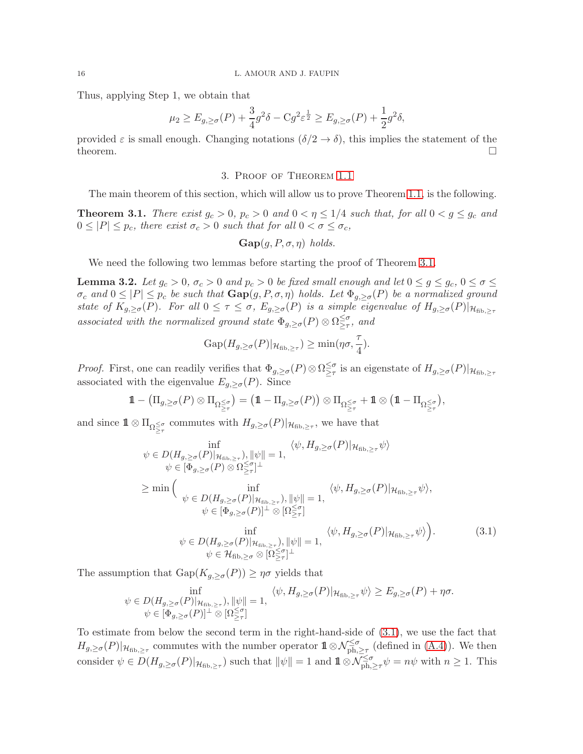Thus, applying Step 1, we obtain that

$$
\mu_2 \ge E_{g,\ge \sigma}(P) + \frac{3}{4}g^2 \delta - Cg^2 \varepsilon^{\frac{1}{2}} \ge E_{g,\ge \sigma}(P) + \frac{1}{2}g^2 \delta,
$$

<span id="page-15-0"></span>provided  $\varepsilon$  is small enough. Changing notations  $(\delta/2 \to \delta)$ , this implies the statement of the theorem. theorem.  $\Box$ 

## 3. Proof of Theorem [1.1](#page-2-0)

The main theorem of this section, which will allow us to prove Theorem [1.1,](#page-2-0) is the following.

<span id="page-15-1"></span>**Theorem 3.1.** There exist  $g_c > 0$ ,  $p_c > 0$  and  $0 < \eta \leq 1/4$  such that, for all  $0 < g \leq g_c$  and  $0 \leq |P| \leq p_c$ , there exist  $\sigma_c > 0$  such that for all  $0 < \sigma \leq \sigma_c$ ,

$$
\textbf{Gap}(g, P, \sigma, \eta) \ holds.
$$

We need the following two lemmas before starting the proof of Theorem [3.1.](#page-15-1)

<span id="page-15-3"></span>**Lemma 3.2.** Let  $g_c > 0$ ,  $\sigma_c > 0$  and  $p_c > 0$  be fixed small enough and let  $0 \le g \le g_c$ ,  $0 \le \sigma \le$  $\sigma_c$  and  $0 \leq |P| \leq p_c$  be such that  $\text{Gap}(g, P, \sigma, \eta)$  holds. Let  $\Phi_{g, \geq \sigma}(P)$  be a normalized ground state of  $K_{g,\geq\sigma}(P)$ . For all  $0 \leq \tau \leq \sigma$ ,  $E_{g,\geq\sigma}(P)$  is a simple eigenvalue of  $H_{g,\geq\sigma}(P)|_{\mathcal{H}_{\text{fib},\geq\tau}}$ associated with the normalized ground state  $\Phi_{g,\geq \sigma}(P) \otimes \Omega^{\leq \sigma}_{\geq \tau}$  $\geq_{\tau}^{\sigma}$ , and

<span id="page-15-2"></span>
$$
Gap(H_{g,\geq \sigma}(P)|_{\mathcal{H}_{\text{fib},\geq \tau}}) \geq \min(\eta \sigma, \frac{\tau}{4}).
$$

*Proof.* First, one can readily verifies that  $\Phi_{g,\geq \sigma}(P) \otimes \Omega^{\leq \sigma}_{\geq \tau}$  $\geq^{\sigma}_{\geq\tau}$  is an eigenstate of  $H_{g,\geq\sigma}(P)|_{\mathcal{H}_{\text{fib},\geq\tau}}$ associated with the eigenvalue  $E_{q, \geq \sigma}(P)$ . Since

$$
1\!\!1 - \big(\Pi_{g,\geq \sigma}(P) \otimes \Pi_{\Omega \leq \sigma \atop \geq \tau}\big) = \big(1\!\!1 - \Pi_{g,\geq \sigma}(P)\big) \otimes \Pi_{\Omega \leq \sigma \atop \geq \tau} + 1\!\!1 \otimes \big(1\!\!1 - \Pi_{\Omega \leq \sigma \atop \geq \tau}\big),
$$

and since  $1\!\!1 \otimes \prod_{\substack{\Omega \leq \sigma \\ \geq \tau}}$  commutes with  $H_{g,\geq \sigma}(P)|_{\mathcal{H}_{\text{fib},\geq \tau}}$ , we have that

$$
\inf_{\psi \in D(H_{g,\geq \sigma}(P)|_{\mathcal{H}_{\text{fib},\geq \tau}}), \|\psi\| = 1, \qquad \langle \psi, H_{g,\geq \sigma}(P)|_{\mathcal{H}_{\text{fib},\geq \tau}} \psi \rangle
$$
\n
$$
\psi \in [\Phi_{g,\geq \sigma}(P) \otimes \Omega^{\leq \sigma}_{\geq \tau}]^{\perp}
$$
\n
$$
\geq \min \Big( \inf_{\psi \in D(H_{g,\geq \sigma}(P)|_{\mathcal{H}_{\text{fib},\geq \tau}}), \|\psi\| = 1, \qquad \langle \psi, H_{g,\geq \sigma}(P)|_{\mathcal{H}_{\text{fib},\geq \tau}} \psi \rangle,
$$
\n
$$
\psi \in [\Phi_{g,\geq \sigma}(P)]^{\perp} \otimes [\Omega^{\leq \sigma}_{\geq \tau}]
$$
\n
$$
\inf_{\psi \in D(H_{g,\geq \sigma}(P)|_{\mathcal{H}_{\text{fib},\geq \tau}}), \|\psi\| = 1, \qquad \langle \psi, H_{g,\geq \sigma}(P)|_{\mathcal{H}_{\text{fib},\geq \tau}} \psi \rangle \Big). \tag{3.1}
$$
\n
$$
\psi \in H_{\text{fib},\geq \sigma} \otimes [\Omega^{\leq \sigma}_{\geq \tau}]^{\perp}
$$

The assumption that  $\text{Gap}(K_{g,\geq \sigma}(P)) \geq \eta \sigma$  yields that

$$
\inf_{\psi \in D(H_{g,\geq \sigma}(P)|_{\mathcal{H}_{\text{fib},\geq \tau}}), \|\psi\| = 1,}_{\psi \in [\Phi_{g,\geq \sigma}(P)]^{\perp} \otimes [\Omega \leq \tau]{\tau}} \langle \psi, H_{g,\geq \sigma}(P)|_{\mathcal{H}_{\text{fib},\geq \tau}} \psi \rangle \geq E_{g,\geq \sigma}(P) + \eta \sigma.
$$

To estimate from below the second term in the right-hand-side of [\(3.1\)](#page-15-2), we use the fact that  $H_{g,\geq \sigma}(P)|_{\mathcal{H}_{\text{fib},\geq \tau}}$  commutes with the number operator  $\mathbb{1}\otimes \mathcal{N}_{\text{ph},\geq \tau}^{\leq \sigma}$  (defined in  $(A.4)$ ). We then consider  $\psi \in D(H_{g,\geq \sigma}(P)|_{\mathcal{H}_{\text{fib},\geq \tau}})$  such that  $\|\psi\|=1$  and  $\mathbf{1}\otimes \mathcal{N}_{\text{ph},\geq \tau}^{\leq \sigma}\psi=n\psi$  with  $n\geq 1$ . This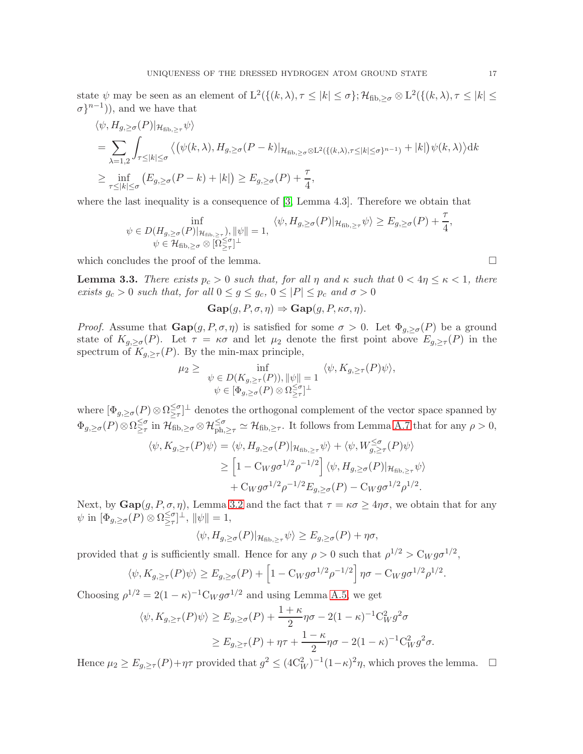state  $\psi$  may be seen as an element of  $L^2(\{(k,\lambda), \tau \leq |k| \leq \sigma\}; \mathcal{H}_{\text{fib},\geq \sigma} \otimes L^2(\{(k,\lambda), \tau \leq |k| \leq \sigma\})$  $\sigma\}^{n-1}$ ), and we have that

$$
\langle \psi, H_{g,\geq \sigma}(P) |_{\mathcal{H}_{\text{fib},\geq \tau}} \psi \rangle
$$
  
= 
$$
\sum_{\lambda=1,2} \int_{\tau \leq |k| \leq \sigma} \langle (\psi(k,\lambda), H_{g,\geq \sigma}(P-k) |_{\mathcal{H}_{\text{fib},\geq \sigma} \otimes \mathcal{L}^2(\{(k,\lambda),\tau \leq |k| \leq \sigma\}^{n-1})} + |k| \psi(k,\lambda) \rangle dk
$$
  

$$
\geq \inf_{\tau \leq |k| \leq \sigma} (E_{g,\geq \sigma}(P-k) + |k|) \geq E_{g,\geq \sigma}(P) + \frac{\tau}{4},
$$

where the last inequality is a consequence of [\[3,](#page-20-0) Lemma 4.3]. Therefore we obtain that

$$
\inf_{\psi \in D(H_{g,\geq \sigma}(P)|_{\mathcal{H}_{\text{fib},\geq \tau}}), \|\psi\| = 1,}_{\psi \in \mathcal{H}_{\text{fib},\geq \sigma}} \langle \psi, H_{g,\geq \sigma}(P)|_{\mathcal{H}_{\text{fib},\geq \tau}} \psi \rangle \geq E_{g,\geq \sigma}(P) + \frac{\tau}{4},
$$

which concludes the proof of the lemma.  $\Box$ 

<span id="page-16-0"></span>**Lemma 3.3.** There exists  $p_c > 0$  such that, for all  $\eta$  and  $\kappa$  such that  $0 < 4\eta \leq \kappa < 1$ , there exists  $g_c > 0$  such that, for all  $0 \le g \le g_c$ ,  $0 \le |P| \le p_c$  and  $\sigma > 0$ 

$$
\mathbf{Gap}(g, P, \sigma, \eta) \Rightarrow \mathbf{Gap}(g, P, \kappa\sigma, \eta).
$$

*Proof.* Assume that  $\text{Gap}(g, P, \sigma, \eta)$  is satisfied for some  $\sigma > 0$ . Let  $\Phi_{g, \geq \sigma}(P)$  be a ground state of  $K_{g,\geq \sigma}(P)$ . Let  $\tau = \kappa \sigma$  and let  $\mu_2$  denote the first point above  $E_{g,\geq \tau}(P)$  in the spectrum of  $K_{g,\geq \tau}(P)$ . By the min-max principle,

$$
\mu_2 \geq \inf_{\psi \in D(K_{g,\geq \tau}(P)), ||\psi|| = 1} \langle \psi, K_{g,\geq \tau}(P)\psi \rangle,
$$
  

$$
\psi \in [\Phi_{g,\geq \sigma}(P) \otimes \Omega^{\leq \sigma}_{\geq \tau}]^{\perp}
$$

where  $[\Phi_{g,\geq \sigma}(P) \otimes \Omega_{\geq \tau}^{\leq \sigma}]$  $\leq \frac{1}{2\tau}$  denotes the orthogonal complement of the vector space spanned by  $\Phi_{g,\geq \sigma}(P)\otimes \Omega_{\geq \tau}^{\leq \sigma}$  $\leq_{\tau}^{\leq \sigma}$  in  $\mathcal{H}_{\text{fib},\geq \sigma} \otimes \mathcal{H}_{\text{ph},\geq \tau}^{\leq \sigma} \simeq \mathcal{H}_{\text{fib},\geq \tau}$ . It follows from Lemma [A.7](#page-20-10) that for any  $\rho > 0$ ,

$$
\langle \psi, K_{g,\geq \tau}(P)\psi \rangle = \langle \psi, H_{g,\geq \sigma}(P)|_{\mathcal{H}_{\text{fib},\geq \tau}} \psi \rangle + \langle \psi, W_{g,\geq \tau}^{\leq \sigma}(P)\psi \rangle
$$
  
\n
$$
\geq \left[1 - C_W g \sigma^{1/2} \rho^{-1/2}\right] \langle \psi, H_{g,\geq \sigma}(P)|_{\mathcal{H}_{\text{fib},\geq \tau}} \psi \rangle
$$
  
\n
$$
+ C_W g \sigma^{1/2} \rho^{-1/2} E_{g,\geq \sigma}(P) - C_W g \sigma^{1/2} \rho^{1/2}.
$$

Next, by  $\text{Gap}(g, P, \sigma, \eta)$ , Lemma [3.2](#page-15-3) and the fact that  $\tau = \kappa \sigma \geq 4\eta \sigma$ , we obtain that for any  $\psi$  in  $[\Phi_{g,\geq \sigma}(P) \otimes \Omega_{\geq \tau}^{\leq \sigma}]$  $\sum_{\geq \tau}^{\leq \sigma}$ ]<sup> $\perp$ </sup>,  $\|\psi\| = 1$ ,

$$
\langle \psi, H_{g, \ge \sigma}(P) |_{\mathcal{H}_{\text{fib}, \ge \tau}} \psi \rangle \ge E_{g, \ge \sigma}(P) + \eta \sigma,
$$

provided that g is sufficiently small. Hence for any  $\rho > 0$  such that  $\rho^{1/2} > C_W g \sigma^{1/2}$ ,

$$
\langle \psi, K_{g,\geq \tau}(P)\psi \rangle \geq E_{g,\geq \sigma}(P) + \left[1 - C_W g \sigma^{1/2} \rho^{-1/2}\right] \eta \sigma - C_W g \sigma^{1/2} \rho^{1/2}.
$$

Choosing  $\rho^{1/2} = 2(1 - \kappa)^{-1}C_W g \sigma^{1/2}$  and using Lemma [A.5,](#page-19-2) we get

$$
\langle \psi, K_{g,\geq \tau}(P)\psi \rangle \geq E_{g,\geq \sigma}(P) + \frac{1+\kappa}{2}\eta\sigma - 2(1-\kappa)^{-1}C_W^2 g^2 \sigma
$$
  
 
$$
\geq E_{g,\geq \tau}(P) + \eta\tau + \frac{1-\kappa}{2}\eta\sigma - 2(1-\kappa)^{-1}C_W^2 g^2 \sigma.
$$

Hence  $\mu_2 \ge E_{g,\ge \tau}(P) + \eta \tau$  provided that  $g^2 \le (4C_W^2)^{-1}(1-\kappa)^2 \eta$ , which proves the lemma.  $\Box$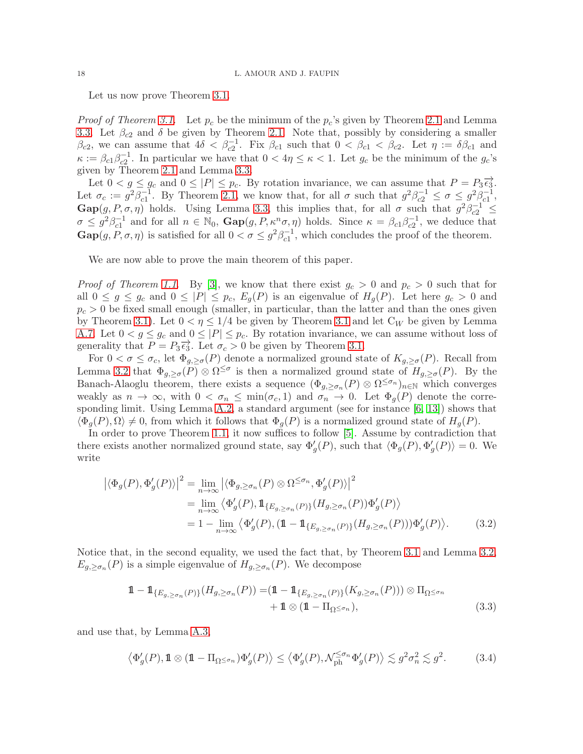Let us now prove Theorem [3.1.](#page-15-1)

*Proof of Theorem [3.1](#page-15-1).* Let  $p_c$  be the minimum of the  $p_c$ 's given by Theorem [2.1](#page-6-1) and Lemma [3.3.](#page-16-0) Let  $\beta_{c2}$  and  $\delta$  be given by Theorem [2.1.](#page-6-1) Note that, possibly by considering a smaller  $\beta_{c2}$ , we can assume that  $4\delta < \beta_{c2}^{-1}$ . Fix  $\beta_{c1}$  such that  $0 < \beta_{c1} < \beta_{c2}$ . Let  $\eta := \delta \beta_{c1}$  and  $\kappa := \beta_{c1}\beta_{c2}^{-1}$ . In particular we have that  $0 < 4\eta \leq \kappa < 1$ . Let  $g_c$  be the minimum of the  $g_c$ 's given by Theorem [2.1](#page-6-1) and Lemma [3.3.](#page-16-0)

Let  $0 < g \leq g_c$  and  $0 \leq |P| \leq p_c$ . By rotation invariance, we can assume that  $P = P_3 \overrightarrow{\epsilon_3}$ . Let  $\sigma_c := g^2 \beta_{c1}^{-1}$ . By Theorem [2.1,](#page-6-1) we know that, for all  $\sigma$  such that  $g^2 \beta_{c2}^{-1} \leq \sigma \leq g^2 \beta_{c1}^{-1}$ ,  $\text{Gap}(g, P, \sigma, \eta)$  holds. Using Lemma [3.3,](#page-16-0) this implies that, for all  $\sigma$  such that  $g^2\beta_{c2}^{-1} \leq$  $\sigma \leq g^2 \beta_{c1}^{-1}$  and for all  $n \in \mathbb{N}_0$ ,  $\text{Gap}(g, P, \kappa^n \sigma, \eta)$  holds. Since  $\kappa = \beta_{c1} \beta_{c2}^{-1}$ , we deduce that  $\text{Gap}(g, P, \sigma, \eta)$  is satisfied for all  $0 < \sigma \leq g^2 \beta_{c1}^{-1}$ , which concludes the proof of the theorem.

We are now able to prove the main theorem of this paper.

*Proof of Theorem [1.1](#page-2-0).* By [\[3\]](#page-20-0), we know that there exist  $g_c > 0$  and  $p_c > 0$  such that for all  $0 \le g \le g_c$  and  $0 \le |P| \le p_c$ ,  $E_g(P)$  is an eigenvalue of  $H_g(P)$ . Let here  $g_c > 0$  and  $p_c > 0$  be fixed small enough (smaller, in particular, than the latter and than the ones given by Theorem [3.1\)](#page-15-1). Let  $0 < \eta \leq 1/4$  be given by Theorem [3.1](#page-15-1) and let  $C_W$  be given by Lemma [A.7.](#page-20-10) Let  $0 < g \le g_c$  and  $0 \le |P| \le p_c$ . By rotation invariance, we can assume without loss of generality that  $P = P_3 \overrightarrow{\epsilon_3}$ . Let  $\sigma_c > 0$  be given by Theorem [3.1.](#page-15-1)

For  $0 < \sigma \leq \sigma_c$ , let  $\Phi_{g,\geq \sigma}(P)$  denote a normalized ground state of  $K_{g,\geq \sigma}(P)$ . Recall from Lemma [3.2](#page-15-3) that  $\Phi_{g,\geq \sigma}(P) \otimes \Omega^{\leq \sigma}$  is then a normalized ground state of  $H_{g,\geq \sigma}(P)$ . By the Banach-Alaoglu theorem, there exists a sequence  $(\Phi_{g,\geq\sigma_n}(P)\otimes\Omega^{\leq\sigma_n})_{n\in\mathbb{N}}$  which converges weakly as  $n \to \infty$ , with  $0 < \sigma_n \leq \min(\sigma_c, 1)$  and  $\sigma_n \to 0$ . Let  $\Phi_g(P)$  denote the corre-sponding limit. Using Lemma [A.2,](#page-19-3) a standard argument (see for instance  $[6, 13]$  $[6, 13]$ ) shows that  $\langle \Phi_q(P), \Omega \rangle \neq 0$ , from which it follows that  $\Phi_q(P)$  is a normalized ground state of  $H_q(P)$ .

In order to prove Theorem [1.1,](#page-2-0) it now suffices to follow [\[5\]](#page-20-2). Assume by contradiction that there exists another normalized ground state, say  $\Phi'_{g}(P)$ , such that  $\langle \Phi_{g}(P), \Phi'_{g}(P) \rangle = 0$ . We write

$$
\left| \langle \Phi_g(P), \Phi'_g(P) \rangle \right|^2 = \lim_{n \to \infty} \left| \langle \Phi_{g, \ge \sigma_n}(P) \otimes \Omega^{\le \sigma_n}, \Phi'_g(P) \rangle \right|^2
$$
  
\n
$$
= \lim_{n \to \infty} \left\langle \Phi'_g(P), \mathbf{1}_{\{E_{g, \ge \sigma_n}(P)\}} (H_{g, \ge \sigma_n}(P)) \Phi'_g(P) \right\rangle
$$
  
\n
$$
= 1 - \lim_{n \to \infty} \left\langle \Phi'_g(P), (\mathbf{1} - \mathbf{1}_{\{E_{g, \ge \sigma_n}(P)\}} (H_{g, \ge \sigma_n}(P))) \Phi'_g(P) \right\rangle. \tag{3.2}
$$

Notice that, in the second equality, we used the fact that, by Theorem [3.1](#page-15-1) and Lemma [3.2,](#page-15-3)  $E_{g,\geq\sigma_n}(P)$  is a simple eigenvalue of  $H_{g,\geq\sigma_n}(P)$ . We decompose

<span id="page-17-2"></span><span id="page-17-0"></span>
$$
\mathbf{1} - \mathbf{1}_{\{E_{g,\geq \sigma_n}(P)\}} (H_{g,\geq \sigma_n}(P)) = (\mathbf{1} - \mathbf{1}_{\{E_{g,\geq \sigma_n}(P)\}} (K_{g,\geq \sigma_n}(P))) \otimes \Pi_{\Omega \leq \sigma_n} \n+ \mathbf{1} \otimes (\mathbf{1} - \Pi_{\Omega \leq \sigma_n}),
$$
\n(3.3)

and use that, by Lemma [A.3,](#page-19-4)

<span id="page-17-1"></span>
$$
\left\langle \Phi_g'(P), \mathbf{1} \otimes (\mathbf{1} - \Pi_{\Omega \le \sigma_n}) \Phi_g'(P) \right\rangle \le \left\langle \Phi_g'(P), \mathcal{N}_{\text{ph}}^{\le \sigma_n} \Phi_g'(P) \right\rangle \lesssim g^2 \sigma_n^2 \lesssim g^2. \tag{3.4}
$$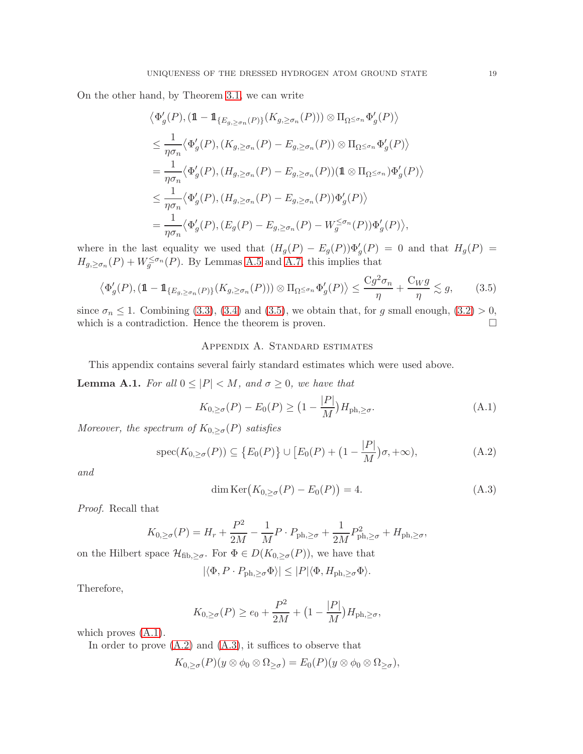On the other hand, by Theorem [3.1,](#page-15-1) we can write

$$
\langle \Phi'_{g}(P), (\mathbb{1} - \mathbb{1}_{\{E_{g,\geq \sigma_n}(P)\}} (K_{g,\geq \sigma_n}(P))) \otimes \Pi_{\Omega \leq \sigma_n} \Phi'_{g}(P) \rangle
$$
  
\n
$$
\leq \frac{1}{\eta \sigma_n} \langle \Phi'_{g}(P), (K_{g,\geq \sigma_n}(P) - E_{g,\geq \sigma_n}(P)) \otimes \Pi_{\Omega \leq \sigma_n} \Phi'_{g}(P) \rangle
$$
  
\n
$$
= \frac{1}{\eta \sigma_n} \langle \Phi'_{g}(P), (H_{g,\geq \sigma_n}(P) - E_{g,\geq \sigma_n}(P)) (\mathbb{1} \otimes \Pi_{\Omega \leq \sigma_n}) \Phi'_{g}(P) \rangle
$$
  
\n
$$
\leq \frac{1}{\eta \sigma_n} \langle \Phi'_{g}(P), (H_{g,\geq \sigma_n}(P) - E_{g,\geq \sigma_n}(P)) \Phi'_{g}(P) \rangle
$$
  
\n
$$
= \frac{1}{\eta \sigma_n} \langle \Phi'_{g}(P), (E_{g}(P) - E_{g,\geq \sigma_n}(P) - W_g^{\leq \sigma_n}(P)) \Phi'_{g}(P) \rangle,
$$

where in the last equality we used that  $(H_g(P) - E_g(P))\Phi'_g(P) = 0$  and that  $H_g(P) =$  $H_{g,\geq\sigma_n}(P) + W_g^{\leq\sigma_n}(P)$ . By Lemmas [A.5](#page-19-2) and [A.7,](#page-20-10) this implies that

$$
\left\langle \Phi'_g(P), (\mathbf{1} - \mathbf{1}_{\{E_{g,\geq \sigma_n}(P)\}}(K_{g,\geq \sigma_n}(P))) \otimes \Pi_{\Omega \leq \sigma_n} \Phi'_g(P) \right\rangle \leq \frac{Cg^2 \sigma_n}{\eta} + \frac{C_W g}{\eta} \lesssim g,
$$
 (3.5)

since  $\sigma_n \leq 1$ . Combining [\(3.3\)](#page-17-0), [\(3.4\)](#page-17-1) and [\(3.5\)](#page-18-1), we obtain that, for g small enough, [\(3.2\)](#page-17-2) > 0, which is a contradiction. Hence the theorem is proven. which is a contradiction. Hence the theorem is proven.

## <span id="page-18-1"></span>Appendix A. Standard estimates

This appendix contains several fairly standard estimates which were used above.

<span id="page-18-0"></span>**Lemma A.1.** For all  $0 \leq |P| < M$ , and  $\sigma \geq 0$ , we have that

<span id="page-18-2"></span>
$$
K_{0,\geq\sigma}(P) - E_0(P) \geq \left(1 - \frac{|P|}{M}\right) H_{\text{ph},\geq\sigma}.\tag{A.1}
$$

Moreover, the spectrum of  $K_{0,\geq\sigma}(P)$  satisfies

$$
\operatorname{spec}(K_{0,\geq\sigma}(P)) \subseteq \left\{E_0(P)\right\} \cup \left[E_0(P) + \left(1 - \frac{|P|}{M}\right)\sigma, +\infty\right),\tag{A.2}
$$

and

<span id="page-18-4"></span><span id="page-18-3"></span>
$$
\dim \operatorname{Ker}\left(K_{0,\geq\sigma}(P) - E_0(P)\right) = 4. \tag{A.3}
$$

Proof. Recall that

$$
K_{0,\geq\sigma}(P) = H_r + \frac{P^2}{2M} - \frac{1}{M}P \cdot P_{\text{ph},\geq\sigma} + \frac{1}{2M}P_{\text{ph},\geq\sigma}^2 + H_{\text{ph},\geq\sigma},
$$

on the Hilbert space  $\mathcal{H}_{\text{fib},\geq\sigma}$ . For  $\Phi \in D(K_{0,\geq\sigma}(P))$ , we have that

$$
|\langle \Phi, P \cdot P_{\text{ph}, \geq \sigma} \Phi \rangle| \leq |P| \langle \Phi, H_{\text{ph}, \geq \sigma} \Phi \rangle.
$$

Therefore,

$$
K_{0,\geq \sigma}(P) \geq e_0 + \frac{P^2}{2M} + (1 - \frac{|P|}{M})H_{\text{ph},\geq \sigma},
$$

which proves  $(A.1)$ .

In order to prove  $(A.2)$  and  $(A.3)$ , it suffices to observe that

$$
K_{0,\geq\sigma}(P)(y\otimes\phi_0\otimes\Omega_{\geq\sigma})=E_0(P)(y\otimes\phi_0\otimes\Omega_{\geq\sigma}),
$$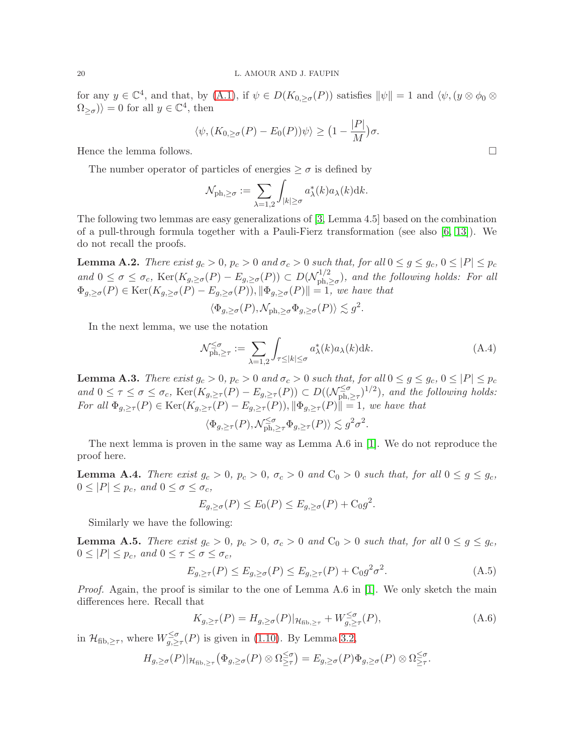for any  $y \in \mathbb{C}^4$ , and that, by  $(A.1)$ , if  $\psi \in D(K_{0,\geq \sigma}(P))$  satisfies  $\|\psi\| = 1$  and  $\langle \psi, (y \otimes \phi_0 \otimes$  $\langle \Omega_{\geq \sigma} \rangle$  = 0 for all  $y \in \mathbb{C}^4$ , then

$$
\langle \psi, (K_{0,\geq \sigma}(P) - E_0(P))\psi \rangle \geq \big(1 - \frac{|P|}{M}\big)\sigma.
$$

Hence the lemma follows.  $\Box$ 

The number operator of particles of energies  $\geq \sigma$  is defined by

$$
\mathcal{N}_{\mathrm{ph},\geq\sigma} := \sum_{\lambda=1,2} \int_{|k|\geq\sigma} a_{\lambda}^*(k) a_{\lambda}(k) \mathrm{d}k.
$$

The following two lemmas are easy generalizations of [\[3,](#page-20-0) Lemma 4.5] based on the combination of a pull-through formula together with a Pauli-Fierz transformation (see also [\[6,](#page-20-5) [13\]](#page-21-7)). We do not recall the proofs.

<span id="page-19-3"></span>**Lemma A.2.** There exist  $g_c > 0$ ,  $p_c > 0$  and  $\sigma_c > 0$  such that, for all  $0 \leq g \leq g_c$ ,  $0 \leq |P| \leq p_c$ and  $0 \le \sigma \le \sigma_c$ , Ker $(K_{g,\ge \sigma}(P) - E_{g,\ge \sigma}(P)) \subset D(\mathcal{N}_{ph,\ge \sigma}^{1/2})$  $p_{\text{ph},\geq \sigma}^{(1/2)}$ , and the following holds: For all  $\Phi_{g,\geq \sigma}(P) \in \text{Ker}(K_{g,\geq \sigma}(P) - E_{g,\geq \sigma}(P)), \|\Phi_{g,\geq \sigma}(P)\| = 1$ , we have that

$$
\langle \Phi_{g,\geq \sigma}(P), \mathcal{N}_{\text{ph},\geq \sigma} \Phi_{g,\geq \sigma}(P) \rangle \lesssim g^2.
$$

In the next lemma, we use the notation

$$
\mathcal{N}_{\text{ph},\geq \tau}^{\leq \sigma} := \sum_{\lambda=1,2} \int_{\tau \leq |k| \leq \sigma} a_{\lambda}^*(k) a_{\lambda}(k) \, dk. \tag{A.4}
$$

<span id="page-19-4"></span>**Lemma A.3.** There exist  $g_c > 0$ ,  $p_c > 0$  and  $\sigma_c > 0$  such that, for all  $0 \le g \le g_c$ ,  $0 \le |P| \le p_c$ and  $0 \leq \tau \leq \sigma \leq \sigma_c$ ,  $\text{Ker}(K_{g,\geq \tau}(P) - E_{g,\geq \tau}(P)) \subset D((\mathcal{N}_{ph,\infty}^{\leq \sigma})$  $\sum_{\text{ph},\geq \tau}^{<\sigma}$  $)^{1/2}$ ), and the following holds: For all  $\Phi_{g,\geq \tau}(P) \in \text{Ker}(K_{g,\geq \tau}(P) - E_{g,\geq \tau}(P)), ||\Phi_{g,\geq \tau}(P)|| = 1$ , we have that

$$
\langle \Phi_{g,\geq \tau}(P), \mathcal{N}_{\mathrm{ph},\geq \tau}^{\leq \sigma} \Phi_{g,\geq \tau}(P) \rangle \lesssim g^2 \sigma^2.
$$

The next lemma is proven in the same way as Lemma A.6 in [\[1\]](#page-20-1). We do not reproduce the proof here.

<span id="page-19-0"></span>**Lemma A.4.** There exist  $g_c > 0$ ,  $p_c > 0$ ,  $\sigma_c > 0$  and  $C_0 > 0$  such that, for all  $0 \le g \le g_c$ ,  $0 \leq |P| \leq p_c$ , and  $0 \leq \sigma \leq \sigma_c$ ,

$$
E_{g,\geq \sigma}(P) \leq E_0(P) \leq E_{g,\geq \sigma}(P) + C_0 g^2.
$$

Similarly we have the following:

<span id="page-19-2"></span>**Lemma A.5.** There exist  $g_c > 0$ ,  $p_c > 0$ ,  $\sigma_c > 0$  and  $C_0 > 0$  such that, for all  $0 \le g \le g_c$ ,  $0 \leq |P| \leq p_c$ , and  $0 \leq \tau \leq \sigma \leq \sigma_c$ ,

<span id="page-19-5"></span>
$$
E_{g,\geq\tau}(P) \leq E_{g,\geq\sigma}(P) \leq E_{g,\geq\tau}(P) + C_0 g^2 \sigma^2. \tag{A.5}
$$

Proof. Again, the proof is similar to the one of Lemma A.6 in [\[1\]](#page-20-1). We only sketch the main differences here. Recall that

<span id="page-19-6"></span>
$$
K_{g,\geq \tau}(P) = H_{g,\geq \sigma}(P)|_{\mathcal{H}_{\text{fib},\geq \tau}} + W^{\leq \sigma}_{g,\geq \tau}(P),\tag{A.6}
$$

in  $\mathcal{H}_{\text{fib},\geq \tau}$ , where  $W_{g,\geq}^{\leq \sigma}$  $\sum_{g,\geq \tau}^{\infty}$  (P) is given in [\(1.10\)](#page-6-2). By Lemma [3.2,](#page-15-3)

$$
H_{g,\geq\sigma}(P)|_{\mathcal{H}_{\text{fib},\geq\tau}}(\Phi_{g,\geq\sigma}(P)\otimes\Omega^{\leq\sigma}_{\geq\tau})=E_{g,\geq\sigma}(P)\Phi_{g,\geq\sigma}(P)\otimes\Omega^{\leq\sigma}_{\geq\tau}.
$$

<span id="page-19-1"></span>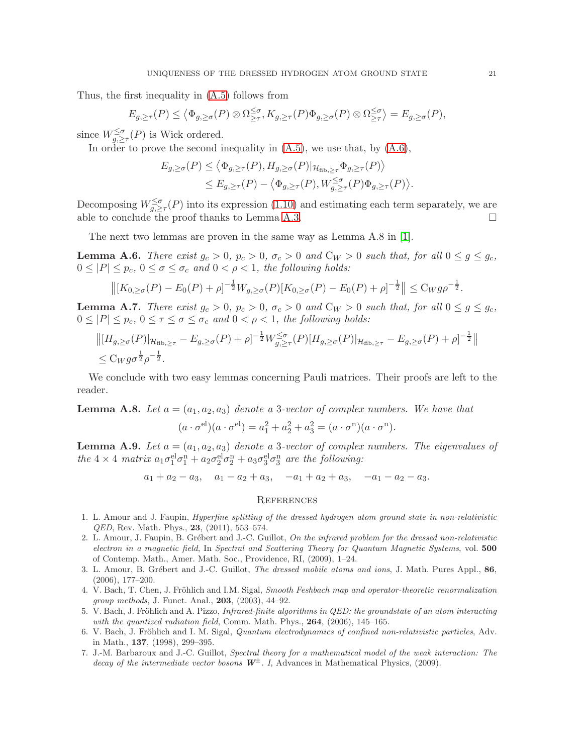Thus, the first inequality in [\(A.5\)](#page-19-5) follows from

$$
E_{g,\geq \tau}(P) \leq \left\langle \Phi_{g,\geq \sigma}(P) \otimes \Omega^{\leq \sigma}_{\geq \tau}, K_{g,\geq \tau}(P) \Phi_{g,\geq \sigma}(P) \otimes \Omega^{\leq \sigma}_{\geq \tau} \right\rangle = E_{g,\geq \sigma}(P),
$$

since  $W_{g,\geq \tau}^{\leq \sigma}(P)$  is Wick ordered.

In order to prove the second inequality in  $(A.5)$ , we use that, by  $(A.6)$ ,

$$
E_{g,\geq\sigma}(P) \leq \langle \Phi_{g,\geq\tau}(P), H_{g,\geq\sigma}(P)|_{\mathcal{H}_{\text{fib},\geq\tau}} \Phi_{g,\geq\tau}(P) \rangle \leq E_{g,\geq\tau}(P) - \langle \Phi_{g,\geq\tau}(P), W_{g,\geq\tau}^{\leq\sigma}(P) \Phi_{g,\geq\tau}(P) \rangle.
$$

Decomposing  $W_{g,\geq\tau}^{\leq\sigma}(P)$  into its expression [\(1.10\)](#page-6-2) and estimating each term separately, we are able to conclude the proof thanks to Lemma [A.3.](#page-19-4)  $\Box$ 

The next two lemmas are proven in the same way as Lemma A.8 in [\[1\]](#page-20-1).

<span id="page-20-7"></span>**Lemma A.6.** There exist  $g_c > 0$ ,  $p_c > 0$ ,  $\sigma_c > 0$  and  $C_W > 0$  such that, for all  $0 \le g \le g_c$ ,  $0 \leq |P| \leq p_c$ ,  $0 \leq \sigma \leq \sigma_c$  and  $0 < \rho < 1$ , the following holds:

$$
\left\| [K_{0,\geq\sigma}(P) - E_0(P) + \rho]^{-\frac{1}{2}} W_{g,\geq\sigma}(P) [K_{0,\geq\sigma}(P) - E_0(P) + \rho]^{-\frac{1}{2}} \right\| \leq C_W g \rho^{-\frac{1}{2}}.
$$

<span id="page-20-10"></span>**Lemma A.7.** There exist  $g_c > 0$ ,  $p_c > 0$ ,  $\sigma_c > 0$  and  $C_W > 0$  such that, for all  $0 \le g \le g_c$ ,  $0 \leq |P| \leq p_c$ ,  $0 \leq \tau \leq \sigma \leq \sigma_c$  and  $0 < \rho < 1$ , the following holds:

$$
||[H_{g,\geq\sigma}(P)|_{\mathcal{H}_{\text{fib},\geq\tau}} - E_{g,\geq\sigma}(P) + \rho]^{-\frac{1}{2}} W_{g,\geq\tau}^{\leq\sigma}(P)[H_{g,\geq\sigma}(P)|_{\mathcal{H}_{\text{fib},\geq\tau}} - E_{g,\geq\sigma}(P) + \rho]^{-\frac{1}{2}}||
$$
  
\$\leq C\_W g \sigma^{\frac{1}{2}} \rho^{-\frac{1}{2}}.

We conclude with two easy lemmas concerning Pauli matrices. Their proofs are left to the reader.

<span id="page-20-8"></span>**Lemma A.8.** Let  $a = (a_1, a_2, a_3)$  denote a 3-vector of complex numbers. We have that  $(a \cdot \sigma^{\text{el}})(a \cdot \sigma^{\text{el}}) = a_1^2 + a_2^2 + a_3^2 = (a \cdot \sigma^{\text{n}})(a \cdot \sigma^{\text{n}}).$ 

<span id="page-20-9"></span>**Lemma A.9.** Let  $a = (a_1, a_2, a_3)$  denote a 3-vector of complex numbers. The eigenvalues of the  $4 \times 4$  matrix  $a_1 \sigma_1^{\text{el}} \sigma_1^{\text{n}} + a_2 \sigma_2^{\text{el}} \sigma_2^{\text{n}} + a_3 \sigma_3^{\text{el}} \sigma_3^{\text{n}}$  are the following:

$$
a_1 + a_2 - a_3
$$
,  $a_1 - a_2 + a_3$ ,  $-a_1 + a_2 + a_3$ ,  $-a_1 - a_2 - a_3$ .

### **REFERENCES**

- <span id="page-20-1"></span>1. L. Amour and J. Faupin, *Hyperfine splitting of the dressed hydrogen atom ground state in non-relativistic QED*, Rev. Math. Phys., 23, (2011), 553–574.
- <span id="page-20-3"></span>2. L. Amour, J. Faupin, B. Grébert and J.-C. Guillot, *On the infrared problem for the dressed non-relativistic electron in a magnetic field*, In *Spectral and Scattering Theory for Quantum Magnetic Systems*, vol. 500 of Contemp. Math., Amer. Math. Soc., Providence, RI, (2009), 1–24.
- <span id="page-20-0"></span>3. L. Amour, B. Gr´ebert and J.-C. Guillot, *The dressed mobile atoms and ions*, J. Math. Pures Appl., 86, (2006), 177–200.
- <span id="page-20-6"></span>4. V. Bach, T. Chen, J. Fröhlich and I.M. Sigal, *Smooth Feshbach map and operator-theoretic renormalization group methods*, J. Funct. Anal., 203, (2003), 44–92.
- <span id="page-20-2"></span>5. V. Bach, J. Fröhlich and A. Pizzo, *Infrared-finite algorithms in QED: the groundstate of an atom interacting with the quantized radiation field*, Comm. Math. Phys., 264, (2006), 145–165.
- <span id="page-20-5"></span>6. V. Bach, J. Fröhlich and I. M. Sigal, *Quantum electrodynamics of confined non-relativistic particles*, Adv. in Math., 137, (1998), 299–395.
- <span id="page-20-4"></span>7. J.-M. Barbaroux and J.-C. Guillot, *Spectral theory for a mathematical model of the weak interaction: The decay of the intermediate vector bosons* W<sup>±</sup>*. I*, Advances in Mathematical Physics, (2009).